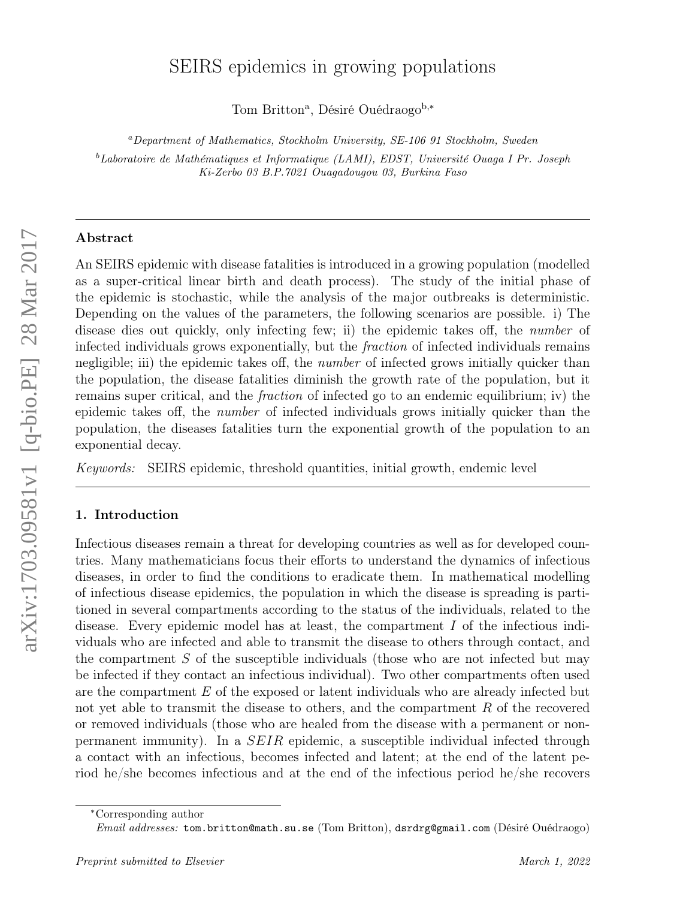# SEIRS epidemics in growing populations

Tom Britton<sup>a</sup>, Désiré Ouédraogo<sup>b,∗</sup>

<sup>a</sup>Department of Mathematics, Stockholm University, SE-106 91 Stockholm, Sweden

<sup>b</sup>Laboratoire de Mathématiques et Informatique (LAMI), EDST, Université Ouaga I Pr. Joseph Ki-Zerbo 03 B.P.7021 Ouagadougou 03, Burkina Faso

# Abstract

An SEIRS epidemic with disease fatalities is introduced in a growing population (modelled as a super-critical linear birth and death process). The study of the initial phase of the epidemic is stochastic, while the analysis of the major outbreaks is deterministic. Depending on the values of the parameters, the following scenarios are possible. i) The disease dies out quickly, only infecting few; ii) the epidemic takes off, the *number* of infected individuals grows exponentially, but the fraction of infected individuals remains negligible; iii) the epidemic takes off, the *number* of infected grows initially quicker than the population, the disease fatalities diminish the growth rate of the population, but it remains super critical, and the fraction of infected go to an endemic equilibrium; iv) the epidemic takes off, the number of infected individuals grows initially quicker than the population, the diseases fatalities turn the exponential growth of the population to an exponential decay.

Keywords: SEIRS epidemic, threshold quantities, initial growth, endemic level

#### 1. Introduction

Infectious diseases remain a threat for developing countries as well as for developed countries. Many mathematicians focus their efforts to understand the dynamics of infectious diseases, in order to find the conditions to eradicate them. In mathematical modelling of infectious disease epidemics, the population in which the disease is spreading is partitioned in several compartments according to the status of the individuals, related to the disease. Every epidemic model has at least, the compartment I of the infectious individuals who are infected and able to transmit the disease to others through contact, and the compartment S of the susceptible individuals (those who are not infected but may be infected if they contact an infectious individual). Two other compartments often used are the compartment  $E$  of the exposed or latent individuals who are already infected but not yet able to transmit the disease to others, and the compartment R of the recovered or removed individuals (those who are healed from the disease with a permanent or nonpermanent immunity). In a SEIR epidemic, a susceptible individual infected through a contact with an infectious, becomes infected and latent; at the end of the latent period he/she becomes infectious and at the end of the infectious period he/she recovers

<sup>∗</sup>Corresponding author

Email addresses: tom.britton@math.su.se (Tom Britton), dsrdrg@gmail.com (Désiré Ouédraogo)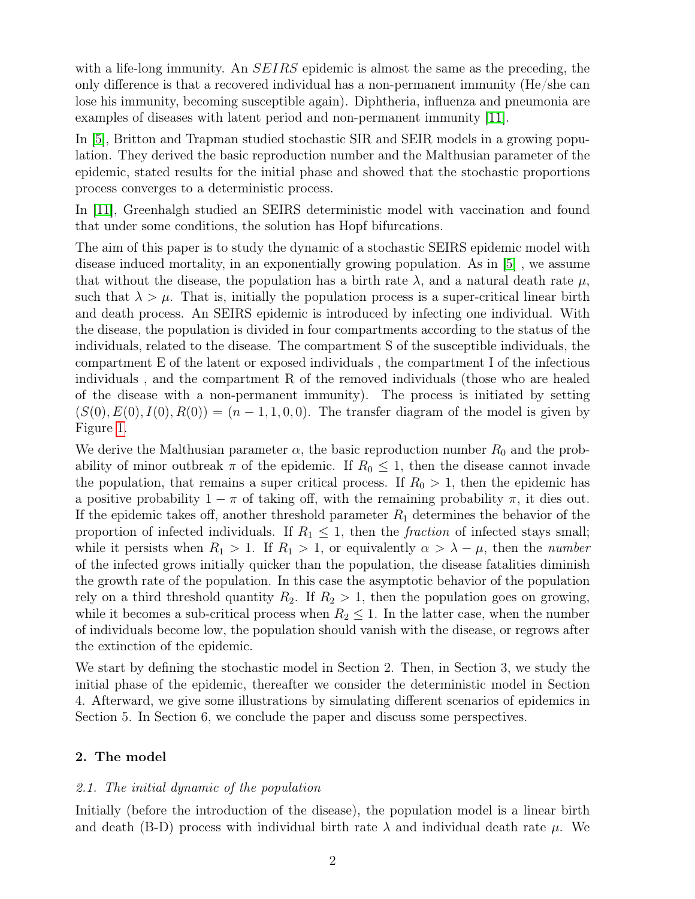with a life-long immunity. An *SEIRS* epidemic is almost the same as the preceding, the only difference is that a recovered individual has a non-permanent immunity (He/she can lose his immunity, becoming susceptible again). Diphtheria, influenza and pneumonia are examples of diseases with latent period and non-permanent immunity [\[11\]](#page-27-0).

In [\[5\]](#page-27-1), Britton and Trapman studied stochastic SIR and SEIR models in a growing population. They derived the basic reproduction number and the Malthusian parameter of the epidemic, stated results for the initial phase and showed that the stochastic proportions process converges to a deterministic process.

In [\[11\]](#page-27-0), Greenhalgh studied an SEIRS deterministic model with vaccination and found that under some conditions, the solution has Hopf bifurcations.

The aim of this paper is to study the dynamic of a stochastic SEIRS epidemic model with disease induced mortality, in an exponentially growing population. As in [\[5\]](#page-27-1) , we assume that without the disease, the population has a birth rate  $\lambda$ , and a natural death rate  $\mu$ , such that  $\lambda > \mu$ . That is, initially the population process is a super-critical linear birth and death process. An SEIRS epidemic is introduced by infecting one individual. With the disease, the population is divided in four compartments according to the status of the individuals, related to the disease. The compartment S of the susceptible individuals, the compartment E of the latent or exposed individuals , the compartment I of the infectious individuals , and the compartment R of the removed individuals (those who are healed of the disease with a non-permanent immunity). The process is initiated by setting  $(S(0), E(0), I(0), R(0)) = (n-1, 1, 0, 0)$ . The transfer diagram of the model is given by Figure [1.](#page-2-0)

We derive the Malthusian parameter  $\alpha$ , the basic reproduction number  $R_0$  and the probability of minor outbreak  $\pi$  of the epidemic. If  $R_0 \leq 1$ , then the disease cannot invade the population, that remains a super critical process. If  $R_0 > 1$ , then the epidemic has a positive probability  $1 - \pi$  of taking off, with the remaining probability  $\pi$ , it dies out. If the epidemic takes off, another threshold parameter  $R_1$  determines the behavior of the proportion of infected individuals. If  $R_1 \leq 1$ , then the *fraction* of infected stays small; while it persists when  $R_1 > 1$ . If  $R_1 > 1$ , or equivalently  $\alpha > \lambda - \mu$ , then the *number* of the infected grows initially quicker than the population, the disease fatalities diminish the growth rate of the population. In this case the asymptotic behavior of the population rely on a third threshold quantity  $R_2$ . If  $R_2 > 1$ , then the population goes on growing, while it becomes a sub-critical process when  $R_2 \leq 1$ . In the latter case, when the number of individuals become low, the population should vanish with the disease, or regrows after the extinction of the epidemic.

We start by defining the stochastic model in Section 2. Then, in Section 3, we study the initial phase of the epidemic, thereafter we consider the deterministic model in Section 4. Afterward, we give some illustrations by simulating different scenarios of epidemics in Section 5. In Section 6, we conclude the paper and discuss some perspectives.

# 2. The model

# 2.1. The initial dynamic of the population

Initially (before the introduction of the disease), the population model is a linear birth and death (B-D) process with individual birth rate  $\lambda$  and individual death rate  $\mu$ . We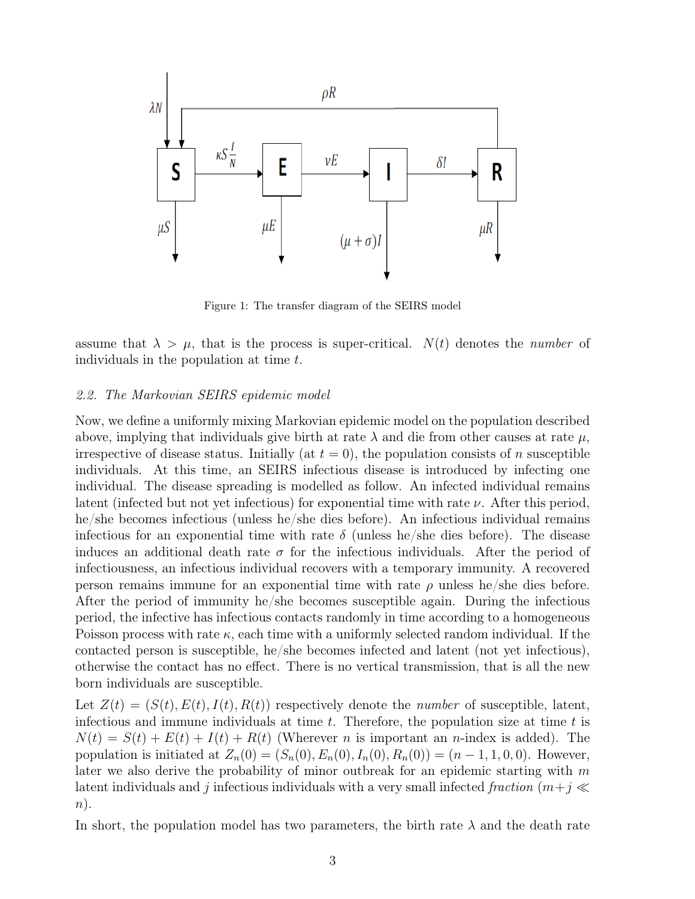

<span id="page-2-0"></span>Figure 1: The transfer diagram of the SEIRS model

assume that  $\lambda > \mu$ , that is the process is super-critical.  $N(t)$  denotes the *number* of individuals in the population at time t.

## 2.2. The Markovian SEIRS epidemic model

Now, we define a uniformly mixing Markovian epidemic model on the population described above, implying that individuals give birth at rate  $\lambda$  and die from other causes at rate  $\mu$ , irrespective of disease status. Initially (at  $t = 0$ ), the population consists of n susceptible individuals. At this time, an SEIRS infectious disease is introduced by infecting one individual. The disease spreading is modelled as follow. An infected individual remains latent (infected but not yet infectious) for exponential time with rate  $\nu$ . After this period, he/she becomes infectious (unless he/she dies before). An infectious individual remains infectious for an exponential time with rate  $\delta$  (unless he/she dies before). The disease induces an additional death rate  $\sigma$  for the infectious individuals. After the period of infectiousness, an infectious individual recovers with a temporary immunity. A recovered person remains immune for an exponential time with rate  $\rho$  unless he/she dies before. After the period of immunity he/she becomes susceptible again. During the infectious period, the infective has infectious contacts randomly in time according to a homogeneous Poisson process with rate  $\kappa$ , each time with a uniformly selected random individual. If the contacted person is susceptible, he/she becomes infected and latent (not yet infectious), otherwise the contact has no effect. There is no vertical transmission, that is all the new born individuals are susceptible.

Let  $Z(t) = (S(t), E(t), I(t), R(t))$  respectively denote the *number* of susceptible, latent, infectious and immune individuals at time  $t$ . Therefore, the population size at time  $t$  is  $N(t) = S(t) + E(t) + I(t) + R(t)$  (Wherever *n* is important an *n*-index is added). The population is initiated at  $Z_n(0) = (S_n(0), E_n(0), I_n(0), R_n(0)) = (n-1, 1, 0, 0)$ . However, later we also derive the probability of minor outbreak for an epidemic starting with  $m$ latent individuals and j infectious individuals with a very small infected fraction  $(m+j \ll$  $n$ ).

In short, the population model has two parameters, the birth rate  $\lambda$  and the death rate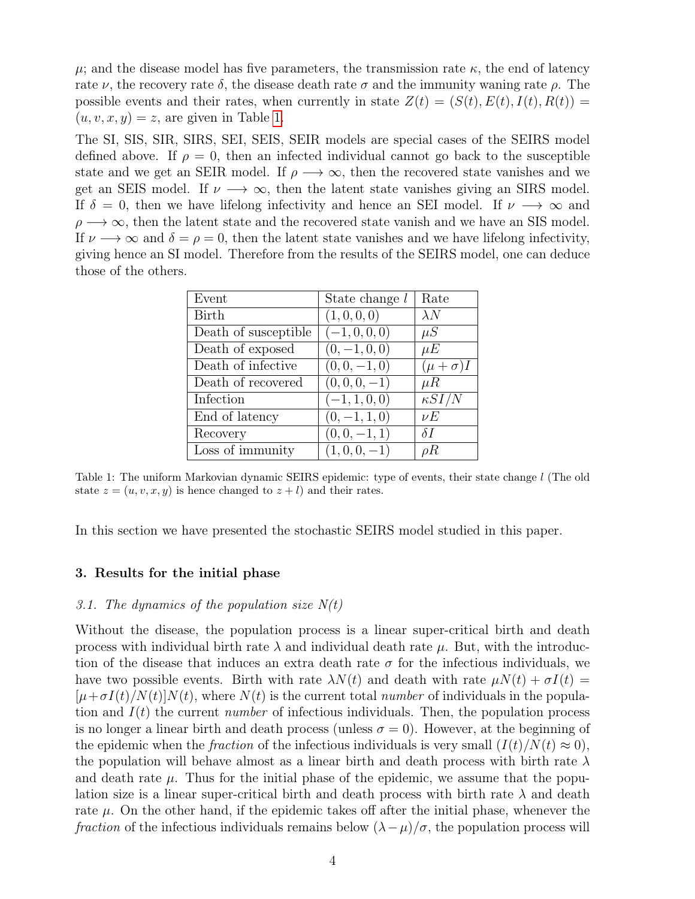$\mu$ ; and the disease model has five parameters, the transmission rate  $\kappa$ , the end of latency rate  $\nu$ , the recovery rate  $\delta$ , the disease death rate  $\sigma$  and the immunity waning rate  $\rho$ . The possible events and their rates, when currently in state  $Z(t) = (S(t), E(t), I(t), R(t)) =$  $(u, v, x, y) = z$ , are given in Table [1.](#page-3-0)

The SI, SIS, SIR, SIRS, SEI, SEIS, SEIR models are special cases of the SEIRS model defined above. If  $\rho = 0$ , then an infected individual cannot go back to the susceptible state and we get an SEIR model. If  $\rho \rightarrow \infty$ , then the recovered state vanishes and we get an SEIS model. If  $\nu \rightarrow \infty$ , then the latent state vanishes giving an SIRS model. If  $\delta = 0$ , then we have lifelong infectivity and hence an SEI model. If  $\nu \longrightarrow \infty$  and  $\rho \longrightarrow \infty$ , then the latent state and the recovered state vanish and we have an SIS model. If  $\nu \rightarrow \infty$  and  $\delta = \rho = 0$ , then the latent state vanishes and we have lifelong infectivity, giving hence an SI model. Therefore from the results of the SEIRS model, one can deduce those of the others.

| Event                | State change $l$ | Rate              |
|----------------------|------------------|-------------------|
| <b>Birth</b>         | (1,0,0,0)        | $\lambda N$       |
| Death of susceptible | $(-1, 0, 0, 0)$  | $\mu S$           |
| Death of exposed     | $(0, -1, 0, 0)$  | $\mu E$           |
| Death of infective   | $(0, 0, -1, 0)$  | $(\mu + \sigma)I$ |
| Death of recovered   | $(0,0,0,-1)$     | $\mu R$           |
| Infection            | $(-1, 1, 0, 0)$  | $\kappa S I/N$    |
| End of latency       | $(0, -1, 1, 0)$  | $\nu E$           |
| Recovery             | $(0,0,-1,1)$     | $\delta I$        |
| Loss of immunity     | $(1,0,0,-1)$     | $\rho R$          |
|                      |                  |                   |

<span id="page-3-0"></span>Table 1: The uniform Markovian dynamic SEIRS epidemic: type of events, their state change l (The old state  $z = (u, v, x, y)$  is hence changed to  $z + l$ ) and their rates.

In this section we have presented the stochastic SEIRS model studied in this paper.

#### 3. Results for the initial phase

# 3.1. The dynamics of the population size  $N(t)$

Without the disease, the population process is a linear super-critical birth and death process with individual birth rate  $\lambda$  and individual death rate  $\mu$ . But, with the introduction of the disease that induces an extra death rate  $\sigma$  for the infectious individuals, we have two possible events. Birth with rate  $\lambda N(t)$  and death with rate  $\mu N(t) + \sigma I(t) =$  $[\mu+\sigma I(t)/N(t)]N(t)$ , where  $N(t)$  is the current total *number* of individuals in the population and  $I(t)$  the current *number* of infectious individuals. Then, the population process is no longer a linear birth and death process (unless  $\sigma = 0$ ). However, at the beginning of the epidemic when the *fraction* of the infectious individuals is very small  $(I(t)/N(t) \approx 0)$ , the population will behave almost as a linear birth and death process with birth rate  $\lambda$ and death rate  $\mu$ . Thus for the initial phase of the epidemic, we assume that the population size is a linear super-critical birth and death process with birth rate  $\lambda$  and death rate  $\mu$ . On the other hand, if the epidemic takes off after the initial phase, whenever the *fraction* of the infectious individuals remains below  $(\lambda - \mu)/\sigma$ , the population process will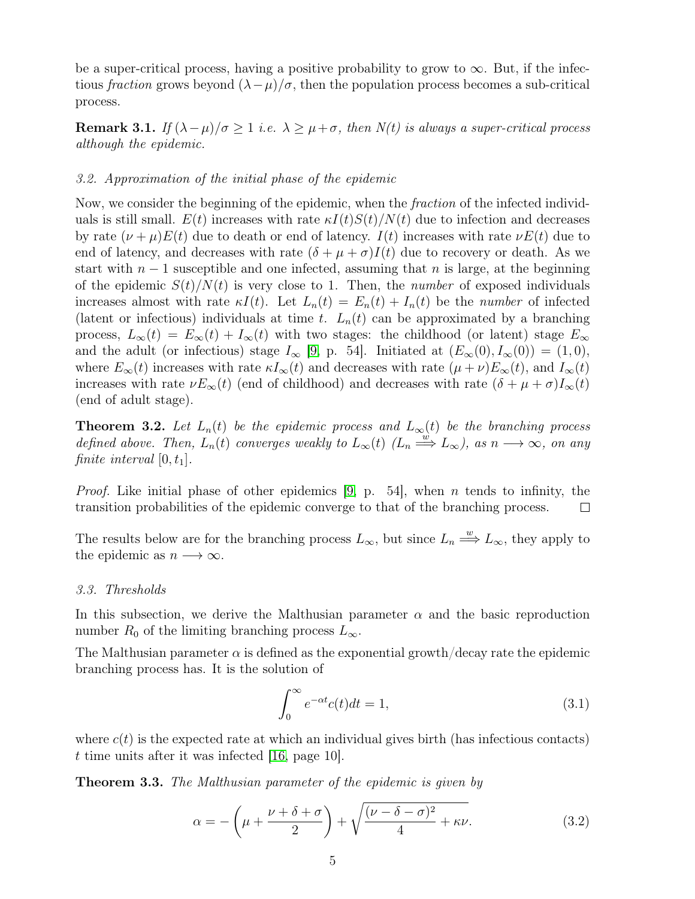be a super-critical process, having a positive probability to grow to  $\infty$ . But, if the infectious fraction grows beyond  $(\lambda - \mu)/\sigma$ , then the population process becomes a sub-critical process.

**Remark 3.1.** If  $(\lambda - \mu)/\sigma \ge 1$  i.e.  $\lambda \ge \mu + \sigma$ , then  $N(t)$  is always a super-critical process although the epidemic.

# 3.2. Approximation of the initial phase of the epidemic

Now, we consider the beginning of the epidemic, when the *fraction* of the infected individuals is still small.  $E(t)$  increases with rate  $\kappa I(t)S(t)/N(t)$  due to infection and decreases by rate  $(\nu + \mu)E(t)$  due to death or end of latency.  $I(t)$  increases with rate  $\nu E(t)$  due to end of latency, and decreases with rate  $(\delta + \mu + \sigma)I(t)$  due to recovery or death. As we start with  $n-1$  susceptible and one infected, assuming that n is large, at the beginning of the epidemic  $S(t)/N(t)$  is very close to 1. Then, the *number* of exposed individuals increases almost with rate  $\kappa I(t)$ . Let  $L_n(t) = E_n(t) + I_n(t)$  be the number of infected (latent or infectious) individuals at time t.  $L_n(t)$  can be approximated by a branching process,  $L_{\infty}(t) = E_{\infty}(t) + I_{\infty}(t)$  with two stages: the childhood (or latent) stage  $E_{\infty}$ and the adult (or infectious) stage  $I_{\infty}$  [\[9,](#page-27-2) p. 54]. Initiated at  $(E_{\infty}(0), I_{\infty}(0)) = (1, 0),$ where  $E_{\infty}(t)$  increases with rate  $\kappa I_{\infty}(t)$  and decreases with rate  $(\mu + \nu)E_{\infty}(t)$ , and  $I_{\infty}(t)$ increases with rate  $\nu E_{\infty}(t)$  (end of childhood) and decreases with rate  $(\delta + \mu + \sigma)I_{\infty}(t)$ (end of adult stage).

**Theorem 3.2.** Let  $L_n(t)$  be the epidemic process and  $L_\infty(t)$  be the branching process defined above. Then,  $\widetilde{L_n(t)}$  converges weakly to  $L_\infty(t)$   $(L_n \stackrel{\widetilde{w}}{\Longrightarrow} L_\infty)$ , as  $n \longrightarrow \infty$ , on any finite interval  $[0, t_1]$ .

*Proof.* Like initial phase of other epidemics [\[9,](#page-27-2) p. 54], when n tends to infinity, the transition probabilities of the epidemic converge to that of the branching process.  $\Box$ 

The results below are for the branching process  $L_{\infty}$ , but since  $L_n \stackrel{w}{\Longrightarrow} L_{\infty}$ , they apply to the epidemic as  $n \longrightarrow \infty$ .

## 3.3. Thresholds

In this subsection, we derive the Malthusian parameter  $\alpha$  and the basic reproduction number  $R_0$  of the limiting branching process  $L_{\infty}$ .

The Malthusian parameter  $\alpha$  is defined as the exponential growth/decay rate the epidemic branching process has. It is the solution of

<span id="page-4-0"></span>
$$
\int_0^\infty e^{-\alpha t} c(t) dt = 1,\tag{3.1}
$$

where  $c(t)$  is the expected rate at which an individual gives birth (has infectious contacts) t time units after it was infected [\[16,](#page-27-3) page 10].

**Theorem 3.3.** The Malthusian parameter of the epidemic is given by

<span id="page-4-1"></span>
$$
\alpha = -\left(\mu + \frac{\nu + \delta + \sigma}{2}\right) + \sqrt{\frac{(\nu - \delta - \sigma)^2}{4} + \kappa \nu}.\tag{3.2}
$$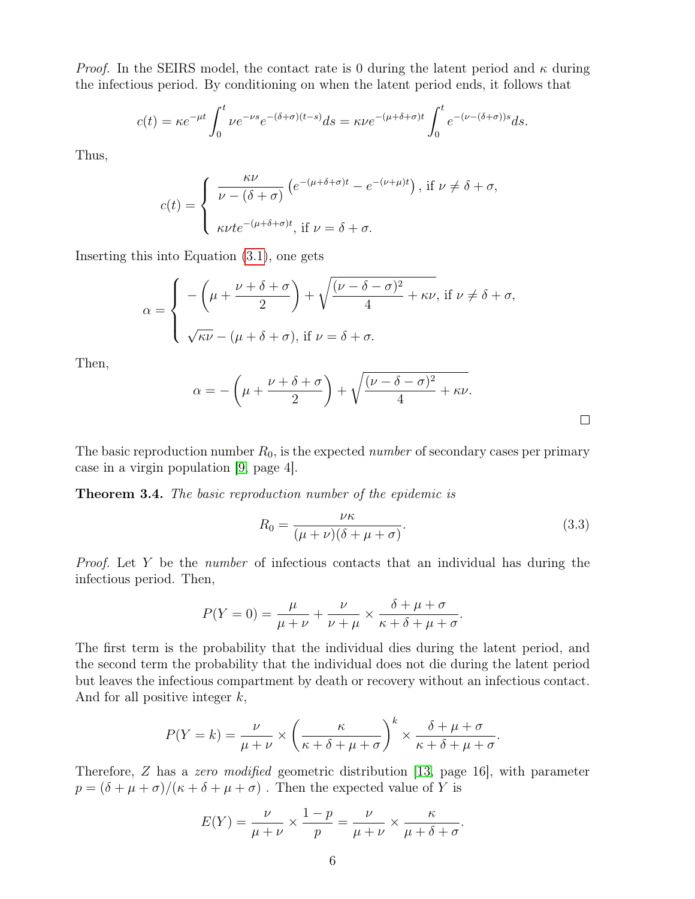*Proof.* In the SEIRS model, the contact rate is 0 during the latent period and  $\kappa$  during the infectious period. By conditioning on when the latent period ends, it follows that

$$
c(t) = \kappa e^{-\mu t} \int_0^t \nu e^{-\nu s} e^{-(\delta + \sigma)(t-s)} ds = \kappa \nu e^{-(\mu + \delta + \sigma)t} \int_0^t e^{-(\nu - (\delta + \sigma))s} ds.
$$

Thus,

$$
c(t) = \begin{cases} \frac{\kappa \nu}{\nu - (\delta + \sigma)} \left( e^{-(\mu + \delta + \sigma)t} - e^{-(\nu + \mu)t} \right), \text{ if } \nu \neq \delta + \sigma, \\ \varepsilon \nu t e^{-(\mu + \delta + \sigma)t}, \text{ if } \nu = \delta + \sigma. \end{cases}
$$

Inserting this into Equation [\(3.1\)](#page-4-0), one gets

$$
\alpha = \begin{cases}\n-\left(\mu + \frac{\nu + \delta + \sigma}{2}\right) + \sqrt{\frac{(\nu - \delta - \sigma)^2}{4} + \kappa \nu}, \text{ if } \nu \neq \delta + \sigma, \\
\sqrt{\kappa \nu} - (\mu + \delta + \sigma), \text{ if } \nu = \delta + \sigma.\n\end{cases}
$$

Then,

$$
\alpha = -\left(\mu + \frac{\nu + \delta + \sigma}{2}\right) + \sqrt{\frac{(\nu - \delta - \sigma)^2}{4} + \kappa \nu}.
$$

The basic reproduction number  $R_0$ , is the expected *number* of secondary cases per primary case in a virgin population [\[9,](#page-27-2) page 4].

Theorem 3.4. The basic reproduction number of the epidemic is

<span id="page-5-0"></span>
$$
R_0 = \frac{\nu \kappa}{(\mu + \nu)(\delta + \mu + \sigma)}.
$$
\n(3.3)

 $\Box$ 

*Proof.* Let Y be the *number* of infectious contacts that an individual has during the infectious period. Then,

$$
P(Y = 0) = \frac{\mu}{\mu + \nu} + \frac{\nu}{\nu + \mu} \times \frac{\delta + \mu + \sigma}{\kappa + \delta + \mu + \sigma}.
$$

The first term is the probability that the individual dies during the latent period, and the second term the probability that the individual does not die during the latent period but leaves the infectious compartment by death or recovery without an infectious contact. And for all positive integer  $k$ ,

$$
P(Y = k) = \frac{\nu}{\mu + \nu} \times \left(\frac{\kappa}{\kappa + \delta + \mu + \sigma}\right)^k \times \frac{\delta + \mu + \sigma}{\kappa + \delta + \mu + \sigma}.
$$

Therefore, Z has a zero modified geometric distribution [\[13,](#page-27-4) page 16], with parameter  $p = (\delta + \mu + \sigma)/(\kappa + \delta + \mu + \sigma)$ . Then the expected value of Y is

$$
E(Y) = \frac{\nu}{\mu + \nu} \times \frac{1 - p}{p} = \frac{\nu}{\mu + \nu} \times \frac{\kappa}{\mu + \delta + \sigma}.
$$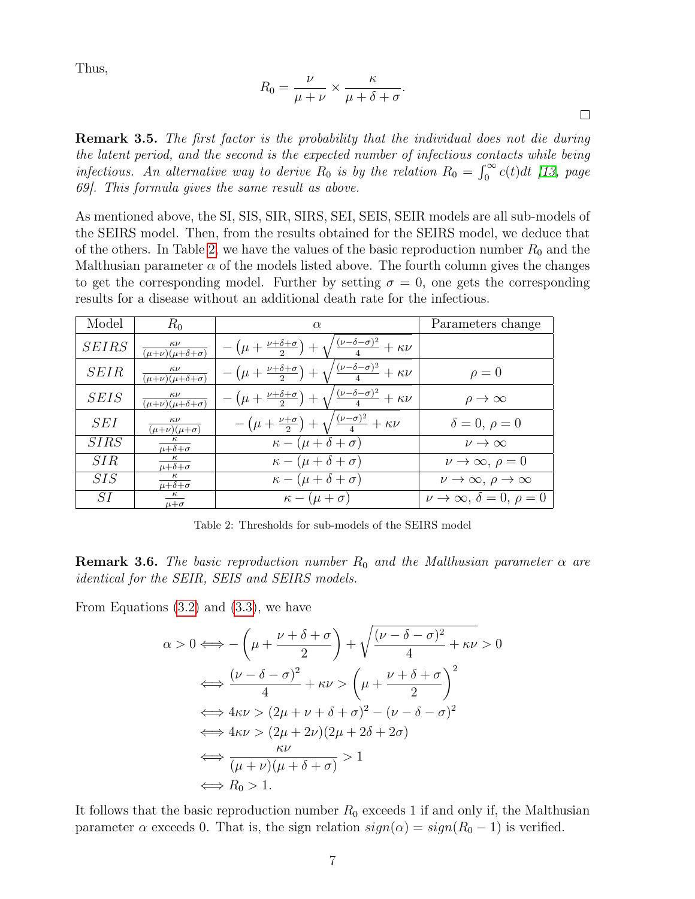Thus,

$$
R_0 = \frac{\nu}{\mu + \nu} \times \frac{\kappa}{\mu + \delta + \sigma}.
$$

**Remark 3.5.** The first factor is the probability that the individual does not die during the latent period, and the second is the expected number of infectious contacts while being infectious. An alternative way to derive  $R_0$  is by the relation  $R_0 = \int_0^\infty c(t)dt$  [\[13,](#page-27-4) page 69]. This formula gives the same result as above.

As mentioned above, the SI, SIS, SIR, SIRS, SEI, SEIS, SEIR models are all sub-models of the SEIRS model. Then, from the results obtained for the SEIRS model, we deduce that of the others. In Table [2,](#page-6-0) we have the values of the basic reproduction number  $R_0$  and the Malthusian parameter  $\alpha$  of the models listed above. The fourth column gives the changes to get the corresponding model. Further by setting  $\sigma = 0$ , one gets the corresponding results for a disease without an additional death rate for the infectious.

| Model        | $R_0$                                                    | $\alpha$                                                                                         | Parameters change                            |  |  |
|--------------|----------------------------------------------------------|--------------------------------------------------------------------------------------------------|----------------------------------------------|--|--|
| <b>SEIRS</b> | $\kappa\nu$<br>$\overline{(\mu+\nu)(\mu+\delta+\sigma)}$ | $-\left(\mu+\frac{\nu+\delta+\sigma}{2}\right)+\sqrt{\frac{(\nu-\delta-\sigma)^2}{4}}+\kappa\nu$ |                                              |  |  |
| <b>SEIR</b>  | $\kappa\nu$<br>$\overline{(\mu+\nu)(\mu+\delta+\sigma)}$ | $-\left(\mu+\frac{\nu+\delta+\sigma}{2}\right)+\sqrt{\frac{(\nu-\delta-\sigma)^2}{4}}+\kappa\nu$ | $\rho = 0$                                   |  |  |
| <b>SEIS</b>  | $\frac{\kappa \nu}{(\mu+\nu)(\mu+\delta+\sigma)}$        | $-\left(\mu+\frac{\nu+\delta+\sigma}{2}\right)+\sqrt{\frac{(\nu-\delta-\sigma)^2}{4}}+\kappa\nu$ | $\rho \rightarrow \infty$                    |  |  |
| <i>SEI</i>   | $\kappa\nu$<br>$\overline{(\mu+\nu)(\mu+\sigma)}$        | $-\left(\mu+\frac{\nu+\sigma}{2}\right)+\sqrt{\frac{(\nu-\sigma)^2}{4}}+\kappa\nu$               | $\delta = 0, \, \rho = 0$                    |  |  |
| SIRS         | $\overline{\mu+\delta+\sigma}$                           | $\kappa - (\mu + \delta + \sigma)$                                                               | $\nu \rightarrow \infty$                     |  |  |
| SIR          | $\mu + \delta + \sigma$                                  | $\kappa - (\mu + \delta + \sigma)$                                                               | $\nu \to \infty, \, \rho = 0$                |  |  |
| SIS          | $\kappa$<br>$\overline{\mu+\delta+\sigma}$               | $\kappa - (\mu + \delta + \sigma)$                                                               | $\nu \to \infty, \, \rho \to \infty$         |  |  |
| SI           | $\kappa$<br>$\mu + \sigma$                               | $\kappa - (\mu + \sigma)$                                                                        | $\nu \to \infty$ , $\delta = 0$ , $\rho = 0$ |  |  |

<span id="page-6-0"></span>Table 2: Thresholds for sub-models of the SEIRS model

**Remark 3.6.** The basic reproduction number  $R_0$  and the Malthusian parameter  $\alpha$  are identical for the SEIR, SEIS and SEIRS models.

From Equations [\(3.2\)](#page-4-1) and [\(3.3\)](#page-5-0), we have

$$
\alpha > 0 \Longleftrightarrow -\left(\mu + \frac{\nu + \delta + \sigma}{2}\right) + \sqrt{\frac{(\nu - \delta - \sigma)^2}{4} + \kappa \nu} > 0
$$
  

$$
\Longleftrightarrow \frac{(\nu - \delta - \sigma)^2}{4} + \kappa \nu > \left(\mu + \frac{\nu + \delta + \sigma}{2}\right)^2
$$
  

$$
\Longleftrightarrow 4\kappa \nu > (2\mu + \nu + \delta + \sigma)^2 - (\nu - \delta - \sigma)^2
$$
  

$$
\Longleftrightarrow 4\kappa \nu > (2\mu + 2\nu)(2\mu + 2\delta + 2\sigma)
$$
  

$$
\Longleftrightarrow \frac{\kappa \nu}{(\mu + \nu)(\mu + \delta + \sigma)} > 1
$$
  

$$
\Longleftrightarrow R_0 > 1.
$$

It follows that the basic reproduction number  $R_0$  exceeds 1 if and only if, the Malthusian parameter  $\alpha$  exceeds 0. That is, the sign relation  $sign(\alpha) = sign(R_0 - 1)$  is verified.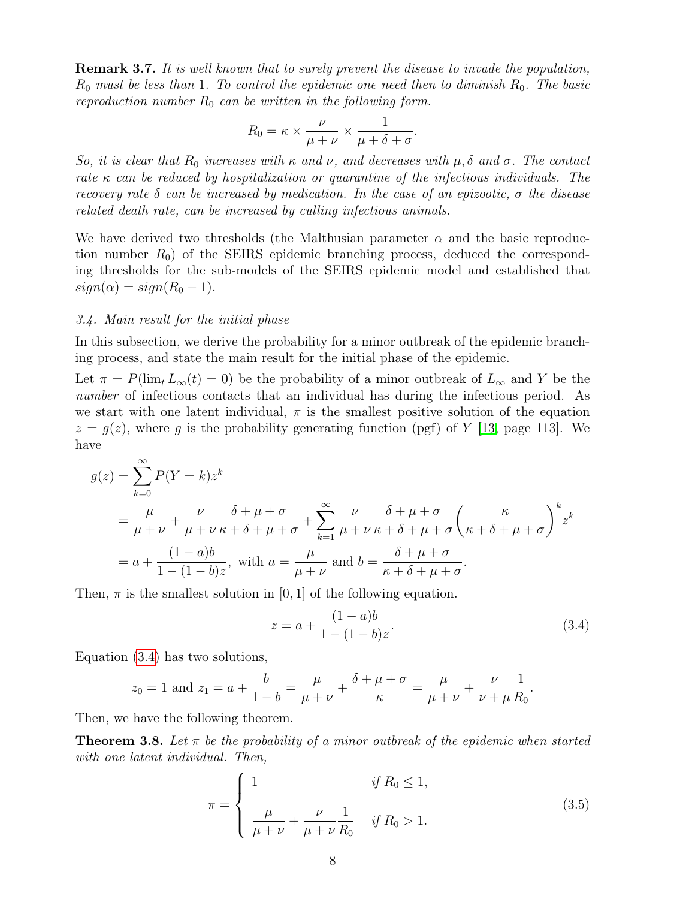**Remark 3.7.** It is well known that to surely prevent the disease to invade the population,  $R_0$  must be less than 1. To control the epidemic one need then to diminish  $R_0$ . The basic reproduction number  $R_0$  can be written in the following form.

$$
R_0 = \kappa \times \frac{\nu}{\mu + \nu} \times \frac{1}{\mu + \delta + \sigma}.
$$

So, it is clear that  $R_0$  increases with  $\kappa$  and  $\nu$ , and decreases with  $\mu$ ,  $\delta$  and  $\sigma$ . The contact rate  $\kappa$  can be reduced by hospitalization or quarantine of the infectious individuals. The recovery rate  $\delta$  can be increased by medication. In the case of an epizootic,  $\sigma$  the disease related death rate, can be increased by culling infectious animals.

We have derived two thresholds (the Malthusian parameter  $\alpha$  and the basic reproduction number  $R_0$ ) of the SEIRS epidemic branching process, deduced the corresponding thresholds for the sub-models of the SEIRS epidemic model and established that  $sign(\alpha) = sign(R_0 - 1).$ 

#### 3.4. Main result for the initial phase

In this subsection, we derive the probability for a minor outbreak of the epidemic branching process, and state the main result for the initial phase of the epidemic.

Let  $\pi = P(\lim_{t} L_{\infty}(t) = 0)$  be the probability of a minor outbreak of  $L_{\infty}$  and Y be the number of infectious contacts that an individual has during the infectious period. As we start with one latent individual,  $\pi$  is the smallest positive solution of the equation  $z = q(z)$ , where q is the probability generating function (pgf) of Y [\[13,](#page-27-4) page 113]. We have

$$
g(z) = \sum_{k=0}^{\infty} P(Y = k) z^{k}
$$
  
=  $\frac{\mu}{\mu + \nu} + \frac{\nu}{\mu + \nu} \frac{\delta + \mu + \sigma}{\kappa + \delta + \mu + \sigma} + \sum_{k=1}^{\infty} \frac{\nu}{\mu + \nu} \frac{\delta + \mu + \sigma}{\kappa + \delta + \mu + \sigma} \left(\frac{\kappa}{\kappa + \delta + \mu + \sigma}\right)^{k} z^{k}$   
=  $a + \frac{(1 - a)b}{1 - (1 - b)z}$ , with  $a = \frac{\mu}{\mu + \nu}$  and  $b = \frac{\delta + \mu + \sigma}{\kappa + \delta + \mu + \sigma}$ .

Then,  $\pi$  is the smallest solution in [0, 1] of the following equation.

<span id="page-7-0"></span>
$$
z = a + \frac{(1 - a)b}{1 - (1 - b)z}.
$$
\n(3.4)

Equation [\(3.4\)](#page-7-0) has two solutions,

$$
z_0 = 1
$$
 and  $z_1 = a + \frac{b}{1-b} = \frac{\mu}{\mu + \nu} + \frac{\delta + \mu + \sigma}{\kappa} = \frac{\mu}{\mu + \nu} + \frac{\nu}{\nu + \mu} \frac{1}{R_0}.$ 

Then, we have the following theorem.

**Theorem 3.8.** Let  $\pi$  be the probability of a minor outbreak of the epidemic when started with one latent individual. Then,

<span id="page-7-1"></span>
$$
\pi = \begin{cases}\n1 & \text{if } R_0 \le 1, \\
\frac{\mu}{\mu + \nu} + \frac{\nu}{\mu + \nu} \frac{1}{R_0} & \text{if } R_0 > 1.\n\end{cases}
$$
\n(3.5)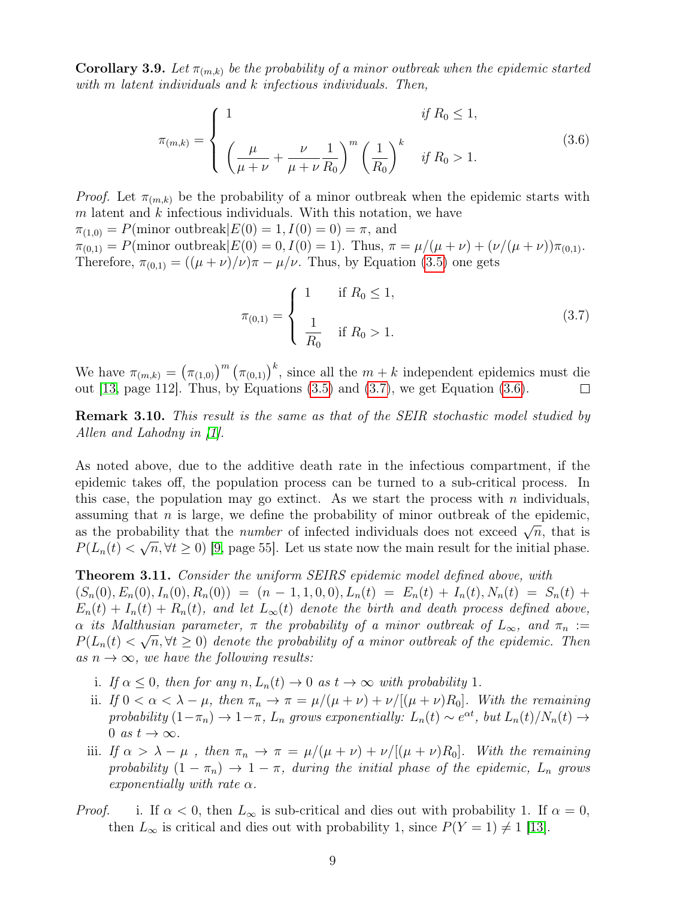**Corollary 3.9.** Let  $\pi_{(m,k)}$  be the probability of a minor outbreak when the epidemic started with m latent individuals and k infectious individuals. Then,

<span id="page-8-1"></span>
$$
\pi_{(m,k)} = \begin{cases}\n1 & \text{if } R_0 \le 1, \\
\left(\frac{\mu}{\mu + \nu} + \frac{\nu}{\mu + \nu} \frac{1}{R_0}\right)^m \left(\frac{1}{R_0}\right)^k & \text{if } R_0 > 1.\n\end{cases}
$$
\n(3.6)

*Proof.* Let  $\pi_{(m,k)}$  be the probability of a minor outbreak when the epidemic starts with  $m$  latent and  $k$  infectious individuals. With this notation, we have

 $\pi_{(1,0)} = P(\text{minor outbreak}|E(0) = 1, I(0) = 0) = \pi, \text{ and}$  $\pi_{(0,1)} = P(\text{minor outbreak} | E(0) = 0, I(0) = 1).$  Thus,  $\pi = \mu/(\mu + \nu) + (\nu/(\mu + \nu))\pi_{(0,1)}$ . Therefore,  $\pi_{(0,1)} = ((\mu + \nu)/\nu)\pi - \mu/\nu$ . Thus, by Equation [\(3.5\)](#page-7-1) one gets

<span id="page-8-0"></span>
$$
\pi_{(0,1)} = \begin{cases}\n1 & \text{if } R_0 \le 1, \\
\frac{1}{R_0} & \text{if } R_0 > 1.\n\end{cases}
$$
\n(3.7)

We have  $\pi_{(m,k)} = (\pi_{(1,0)})^m (\pi_{(0,1)})^k$ , since all the  $m+k$  independent epidemics must die out  $[13, \text{page 112}]$  $[13, \text{page 112}]$ . Thus, by Equations  $(3.5)$  and  $(3.7)$ , we get Equation  $(3.6)$ .  $\Box$ 

**Remark 3.10.** This result is the same as that of the SEIR stochastic model studied by Allen and Lahodny in [\[1\]](#page-26-0).

As noted above, due to the additive death rate in the infectious compartment, if the epidemic takes off, the population process can be turned to a sub-critical process. In this case, the population may go extinct. As we start the process with  $n$  individuals, assuming that  $n$  is large, we define the probability of minor outbreak of the epidemic, assuming that *n* is large, we define the probability of filmor outbreak of the epidemic,<br>as the probability that the *number* of infected individuals does not exceed  $\sqrt{n}$ , that is  $P(L_n(t) < \sqrt{n}, \forall t \ge 0)$  [\[9,](#page-27-2) page 55]. Let us state now the main result for the initial phase.

## <span id="page-8-2"></span>**Theorem 3.11.** Consider the uniform SEIRS epidemic model defined above, with

 $(S_n(0), E_n(0), I_n(0), R_n(0)) = (n-1, 1, 0, 0), L_n(t) = E_n(t) + I_n(t), N_n(t) = S_n(t) +$  $E_n(t) + I_n(t) + R_n(t)$ , and let  $L_\infty(t)$  denote the birth and death process defined above,  $\alpha$  its Malthusian parameter,  $\pi$  the probability of a minor outbreak of  $L_{\infty}$ , and  $\pi_n :=$  $P(L_n(t) < \sqrt{n}, \forall t \geq 0)$  denote the probability of a minor outbreak of the epidemic. Then as  $n \to \infty$ , we have the following results:

- i. If  $\alpha \leq 0$ , then for any  $n, L_n(t) \to 0$  as  $t \to \infty$  with probability 1.
- ii. If  $0 < \alpha < \lambda \mu$ , then  $\pi_n \to \pi = \mu/(\mu + \nu) + \nu/[(\mu + \nu)R_0]$ . With the remaining probability  $(1-\pi_n) \to 1-\pi$ ,  $L_n$  grows exponentially:  $L_n(t) \sim e^{\alpha t}$ , but  $L_n(t)/N_n(t) \to$ 0 as  $t \to \infty$ .
- iii. If  $\alpha > \lambda \mu$ , then  $\pi_n \to \pi = \mu/(\mu + \nu) + \nu/[(\mu + \nu)R_0]$ . With the remaining probability  $(1 - \pi_n) \rightarrow 1 - \pi$ , during the initial phase of the epidemic,  $L_n$  grows exponentially with rate  $\alpha$ .
- *Proof.* i. If  $\alpha < 0$ , then  $L_{\infty}$  is sub-critical and dies out with probability 1. If  $\alpha = 0$ , then  $L_{\infty}$  is critical and dies out with probability 1, since  $P(Y = 1) \neq 1$  [\[13\]](#page-27-4).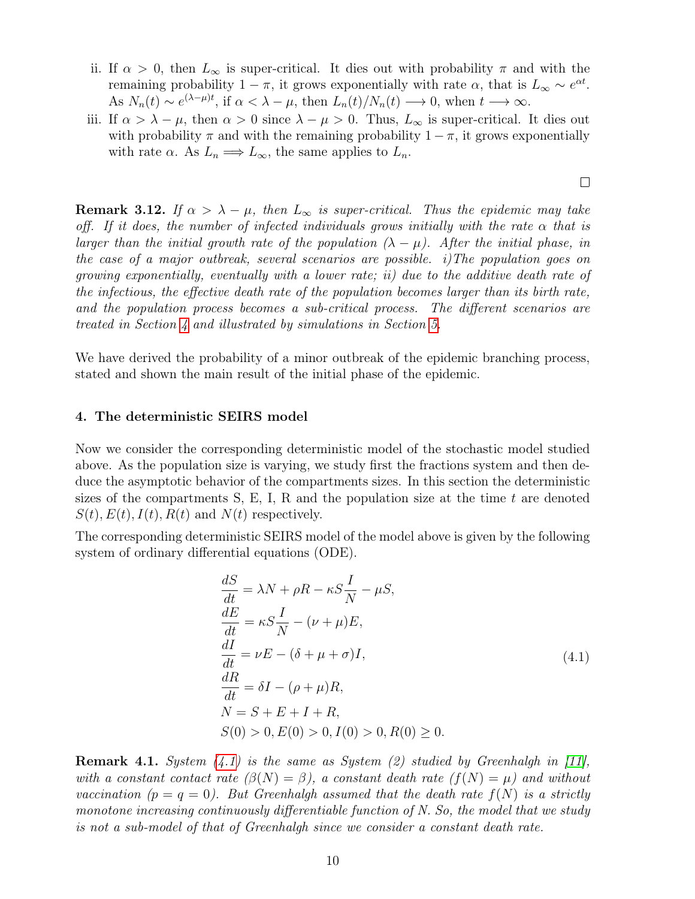- ii. If  $\alpha > 0$ , then  $L_{\infty}$  is super-critical. It dies out with probability  $\pi$  and with the remaining probability  $1 - \pi$ , it grows exponentially with rate  $\alpha$ , that is  $L_{\infty} \sim e^{\alpha t}$ . As  $N_n(t) \sim e^{(\lambda - \mu)t}$ , if  $\alpha < \lambda - \mu$ , then  $L_n(t)/N_n(t) \longrightarrow 0$ , when  $t \longrightarrow \infty$ .
- iii. If  $\alpha > \lambda \mu$ , then  $\alpha > 0$  since  $\lambda \mu > 0$ . Thus,  $L_{\infty}$  is super-critical. It dies out with probability  $\pi$  and with the remaining probability  $1 - \pi$ , it grows exponentially with rate  $\alpha$ . As  $L_n \Longrightarrow L_\infty$ , the same applies to  $L_n$ .

**Remark 3.12.** If  $\alpha > \lambda - \mu$ , then  $L_{\infty}$  is super-critical. Thus the epidemic may take off. If it does, the number of infected individuals grows initially with the rate  $\alpha$  that is larger than the initial growth rate of the population  $(\lambda - \mu)$ . After the initial phase, in the case of a major outbreak, several scenarios are possible. i)The population goes on growing exponentially, eventually with a lower rate; ii) due to the additive death rate of the infectious, the effective death rate of the population becomes larger than its birth rate, and the population process becomes a sub-critical process. The different scenarios are treated in Section [4](#page-9-0) and illustrated by simulations in Section [5.](#page-15-0)

We have derived the probability of a minor outbreak of the epidemic branching process, stated and shown the main result of the initial phase of the epidemic.

# <span id="page-9-0"></span>4. The deterministic SEIRS model

Now we consider the corresponding deterministic model of the stochastic model studied above. As the population size is varying, we study first the fractions system and then deduce the asymptotic behavior of the compartments sizes. In this section the deterministic sizes of the compartments  $S, E, I, R$  and the population size at the time t are denoted  $S(t)$ ,  $E(t)$ ,  $I(t)$ ,  $R(t)$  and  $N(t)$  respectively.

The corresponding deterministic SEIRS model of the model above is given by the following system of ordinary differential equations (ODE).

$$
\frac{dS}{dt} = \lambda N + \rho R - \kappa S \frac{I}{N} - \mu S,
$$
\n
$$
\frac{dE}{dt} = \kappa S \frac{I}{N} - (\nu + \mu) E,
$$
\n
$$
\frac{dI}{dt} = \nu E - (\delta + \mu + \sigma) I,
$$
\n
$$
\frac{dR}{dt} = \delta I - (\rho + \mu) R,
$$
\n
$$
N = S + E + I + R,
$$
\n
$$
S(0) > 0, E(0) > 0, I(0) > 0, R(0) \ge 0.
$$
\n(4.1)

<span id="page-9-1"></span>**Remark 4.1.** System  $(4.1)$  is the same as System  $(2)$  studied by Greenhalgh in [\[11\]](#page-27-0), with a constant contact rate  $(\beta(N) = \beta)$ , a constant death rate  $(f(N) = \mu)$  and without vaccination  $(p = q = 0)$ . But Greenhalgh assumed that the death rate  $f(N)$  is a strictly monotone increasing continuously differentiable function of N. So, the model that we study is not a sub-model of that of Greenhalgh since we consider a constant death rate.

 $\Box$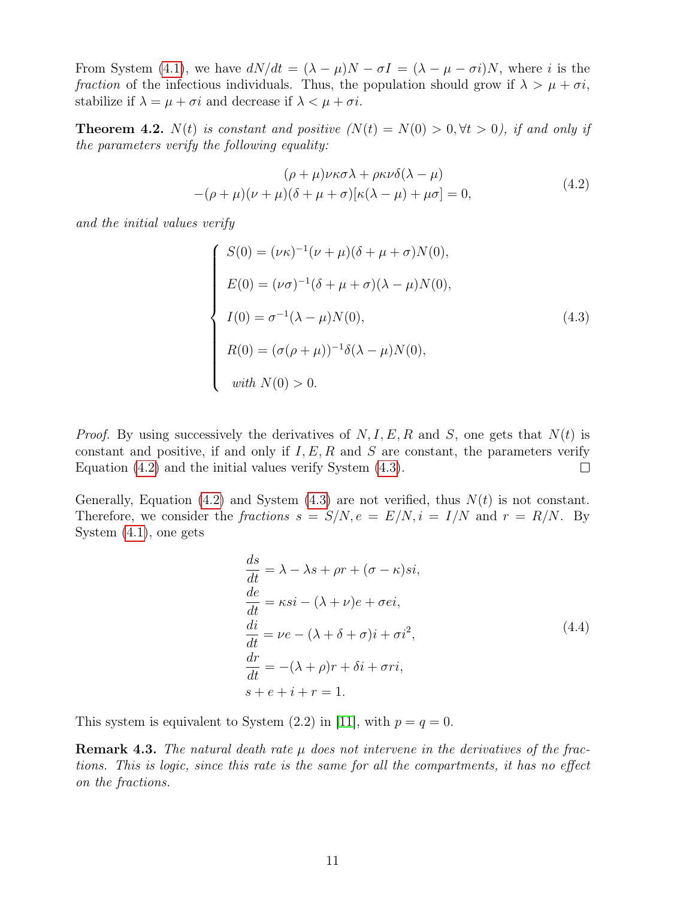From System [\(4.1\)](#page-9-1), we have  $dN/dt = (\lambda - \mu)N - \sigma I = (\lambda - \mu - \sigma i)N$ , where i is the fraction of the infectious individuals. Thus, the population should grow if  $\lambda > \mu + \sigma i$ , stabilize if  $\lambda = \mu + \sigma i$  and decrease if  $\lambda < \mu + \sigma i$ .

**Theorem 4.2.**  $N(t)$  is constant and positive  $(N(t) = N(0) > 0, \forall t > 0)$ , if and only if the parameters verify the following equality:

$$
(\rho + \mu)\nu\kappa\sigma\lambda + \rho\kappa\nu\delta(\lambda - \mu)
$$
  
-(\rho + \mu)(\nu + \mu)(\delta + \mu + \sigma)[\kappa(\lambda - \mu) + \mu\sigma] = 0, (4.2)

<span id="page-10-0"></span>and the initial values verify

<span id="page-10-1"></span>
$$
S(0) = (\nu \kappa)^{-1} (\nu + \mu)(\delta + \mu + \sigma) N(0),
$$
  
\n
$$
E(0) = (\nu \sigma)^{-1} (\delta + \mu + \sigma) (\lambda - \mu) N(0),
$$
  
\n
$$
I(0) = \sigma^{-1} (\lambda - \mu) N(0),
$$
  
\n
$$
R(0) = (\sigma(\rho + \mu))^{-1} \delta(\lambda - \mu) N(0),
$$
  
\nwith  $N(0) > 0$ .

*Proof.* By using successively the derivatives of  $N, I, E, R$  and S, one gets that  $N(t)$  is constant and positive, if and only if  $I, E, R$  and S are constant, the parameters verify Equation [\(4.2\)](#page-10-0) and the initial values verify System [\(4.3\)](#page-10-1).  $\Box$ 

Generally, Equation [\(4.2\)](#page-10-0) and System [\(4.3\)](#page-10-1) are not verified, thus  $N(t)$  is not constant. Therefore, we consider the fractions  $s = S/N$ ,  $e = E/N$ ,  $i = I/N$  and  $r = R/N$ . By System [\(4.1\)](#page-9-1), one gets

$$
\frac{ds}{dt} = \lambda - \lambda s + \rho r + (\sigma - \kappa)si,\n\frac{de}{dt} = \kappa si - (\lambda + \nu)e + \sigma ei,\n\frac{di}{dt} = \nu e - (\lambda + \delta + \sigma)i + \sigma i^2,\n\frac{dr}{dt} = -(\lambda + \rho)r + \delta i + \sigma ri,\ns + e + i + r = 1.
$$
\n(4.4)

<span id="page-10-2"></span>This system is equivalent to System  $(2.2)$  in [\[11\]](#page-27-0), with  $p = q = 0$ .

**Remark 4.3.** The natural death rate  $\mu$  does not intervene in the derivatives of the fractions. This is logic, since this rate is the same for all the compartments, it has no effect on the fractions.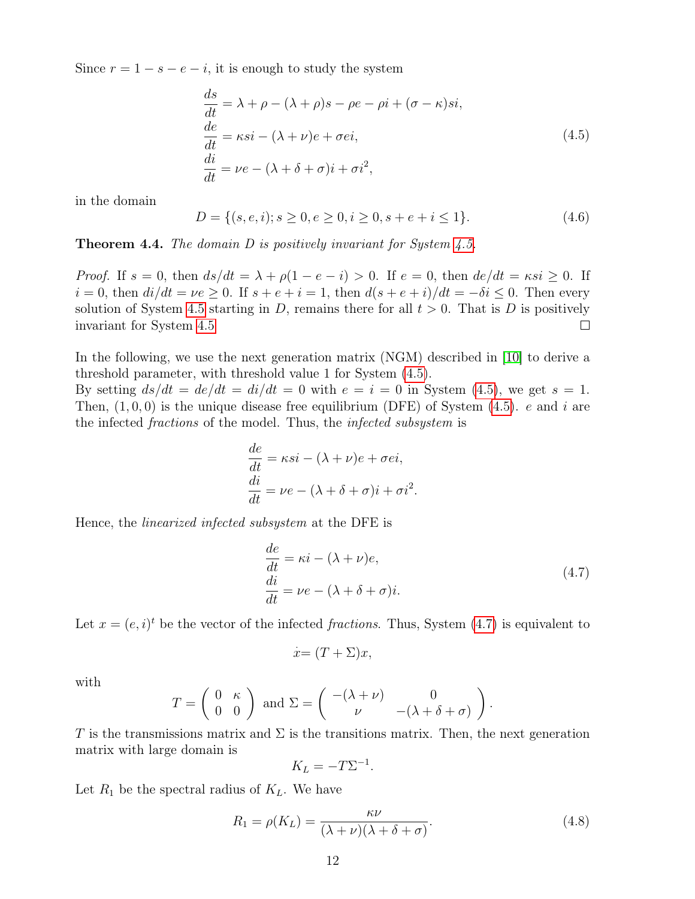<span id="page-11-0"></span>Since  $r = 1 - s - e - i$ , it is enough to study the system

$$
\begin{aligned}\n\frac{ds}{dt} &= \lambda + \rho - (\lambda + \rho)s - \rho e - \rho i + (\sigma - \kappa)si, \\
\frac{de}{dt} &= \kappa si - (\lambda + \nu)e + \sigma ei, \\
\frac{di}{dt} &= \nu e - (\lambda + \delta + \sigma)i + \sigma i^2,\n\end{aligned} \tag{4.5}
$$

in the domain

$$
D = \{(s, e, i); s \ge 0, e \ge 0, i \ge 0, s + e + i \le 1\}.
$$
\n
$$
(4.6)
$$

**Theorem 4.4.** The domain  $D$  is positively invariant for System [4.5.](#page-11-0)

*Proof.* If  $s = 0$ , then  $ds/dt = \lambda + \rho(1 - e - i) > 0$ . If  $e = 0$ , then  $de/dt = \kappa si \geq 0$ . If  $i = 0$ , then  $di/dt = \nu e \ge 0$ . If  $s + e + i = 1$ , then  $d(s + e + i)/dt = -\delta i \le 0$ . Then every solution of System [4.5](#page-11-0) starting in D, remains there for all  $t > 0$ . That is D is positively invariant for System [4.5](#page-11-0)  $\Box$ 

In the following, we use the next generation matrix (NGM) described in [\[10\]](#page-27-5) to derive a threshold parameter, with threshold value 1 for System [\(4.5\)](#page-11-0).

By setting  $ds/dt = de/dt = di/dt = 0$  with  $e = i = 0$  in System [\(4.5\)](#page-11-0), we get  $s = 1$ . Then,  $(1, 0, 0)$  is the unique disease free equilibrium (DFE) of System  $(4.5)$ . e and i are the infected *fractions* of the model. Thus, the *infected subsystem* is

$$
\frac{de}{dt} = \kappa si - (\lambda + \nu)e + \sigma ei,
$$
  
\n
$$
\frac{di}{dt} = \nu e - (\lambda + \delta + \sigma)i + \sigma i^2.
$$

<span id="page-11-1"></span>Hence, the linearized infected subsystem at the DFE is

$$
\begin{aligned}\n\frac{de}{dt} &= \kappa i - (\lambda + \nu)e, \\
\frac{di}{dt} &= \nu e - (\lambda + \delta + \sigma)i.\n\end{aligned} \tag{4.7}
$$

Let  $x = (e, i)^t$  be the vector of the infected fractions. Thus, System [\(4.7\)](#page-11-1) is equivalent to

$$
\dot{x} = (T + \Sigma)x,
$$

with

$$
T = \begin{pmatrix} 0 & \kappa \\ 0 & 0 \end{pmatrix} \text{ and } \Sigma = \begin{pmatrix} -(\lambda + \nu) & 0 \\ \nu & -(\lambda + \delta + \sigma) \end{pmatrix}.
$$

T is the transmissions matrix and  $\Sigma$  is the transitions matrix. Then, the next generation matrix with large domain is

$$
K_L = -T\Sigma^{-1}.
$$

Let  $R_1$  be the spectral radius of  $K_L$ . We have

<span id="page-11-2"></span>
$$
R_1 = \rho(K_L) = \frac{\kappa \nu}{(\lambda + \nu)(\lambda + \delta + \sigma)}.
$$
\n(4.8)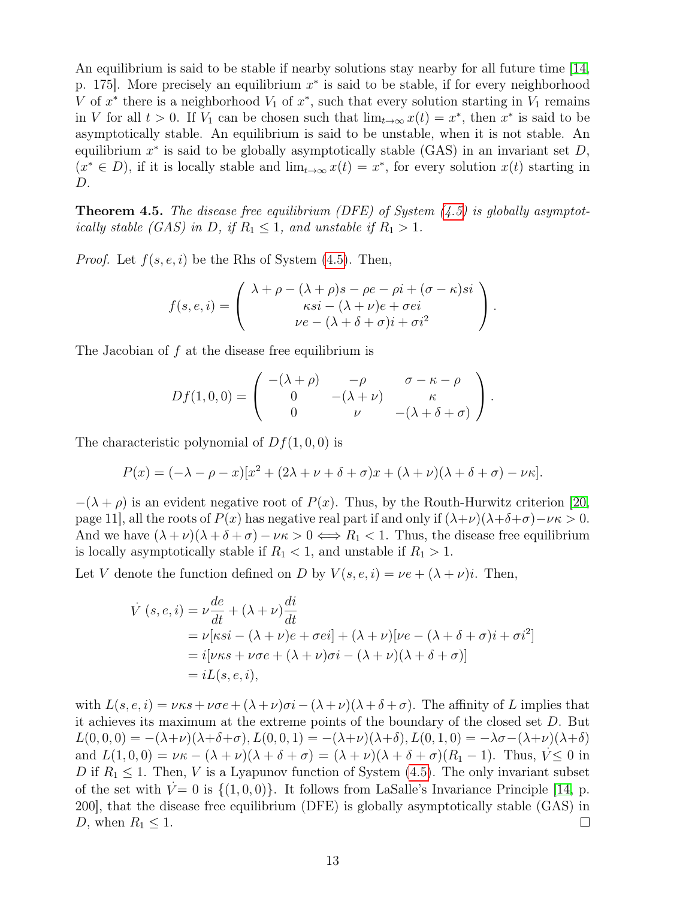An equilibrium is said to be stable if nearby solutions stay nearby for all future time [\[14,](#page-27-6) p. 175. More precisely an equilibrium  $x^*$  is said to be stable, if for every neighborhood V of  $x^*$  there is a neighborhood  $V_1$  of  $x^*$ , such that every solution starting in  $V_1$  remains in V for all  $t > 0$ . If  $V_1$  can be chosen such that  $\lim_{t\to\infty} x(t) = x^*$ , then  $x^*$  is said to be asymptotically stable. An equilibrium is said to be unstable, when it is not stable. An equilibrium  $x^*$  is said to be globally asymptotically stable (GAS) in an invariant set  $D$ ,  $(x^* \in D)$ , if it is locally stable and  $\lim_{t\to\infty} x(t) = x^*$ , for every solution  $x(t)$  starting in D.

<span id="page-12-0"></span>**Theorem 4.5.** The disease free equilibrium (DFE) of System  $(4.5)$  is globally asymptotically stable (GAS) in D, if  $R_1 \leq 1$ , and unstable if  $R_1 > 1$ .

*Proof.* Let  $f(s, e, i)$  be the Rhs of System [\(4.5\)](#page-11-0). Then,

$$
f(s, e, i) = \begin{pmatrix} \lambda + \rho - (\lambda + \rho)s - \rho e - \rho i + (\sigma - \kappa)si \\ \kappa si - (\lambda + \nu)e + \sigma ei \\ \nu e - (\lambda + \delta + \sigma)i + \sigma i^2 \end{pmatrix}.
$$

The Jacobian of f at the disease free equilibrium is

$$
Df(1,0,0) = \begin{pmatrix} -(\lambda + \rho) & -\rho & \sigma - \kappa - \rho \\ 0 & -(\lambda + \nu) & \kappa \\ 0 & \nu & -(\lambda + \delta + \sigma) \end{pmatrix}.
$$

The characteristic polynomial of  $Df(1,0,0)$  is

$$
P(x) = (-\lambda - \rho - x)[x^2 + (2\lambda + \nu + \delta + \sigma)x + (\lambda + \nu)(\lambda + \delta + \sigma) - \nu\kappa].
$$

 $-(\lambda + \rho)$  is an evident negative root of  $P(x)$ . Thus, by the Routh-Hurwitz criterion [\[20,](#page-28-0) page 11], all the roots of  $P(x)$  has negative real part if and only if  $(\lambda+\nu)(\lambda+\delta+\sigma)-\nu\kappa > 0$ . And we have  $(\lambda + \nu)(\lambda + \delta + \sigma) - \nu \kappa > 0 \iff R_1 < 1$ . Thus, the disease free equilibrium is locally asymptotically stable if  $R_1 < 1$ , and unstable if  $R_1 > 1$ .

Let V denote the function defined on D by  $V(s, e, i) = \nu e + (\lambda + \nu)i$ . Then,

$$
\dot{V}(s, e, i) = \nu \frac{de}{dt} + (\lambda + \nu) \frac{di}{dt}
$$
  
=  $\nu[\kappa si - (\lambda + \nu)e + \sigma ei] + (\lambda + \nu)[\nu e - (\lambda + \delta + \sigma)i + \sigma i^2]$   
=  $i[\nu \kappa s + \nu \sigma e + (\lambda + \nu)\sigma i - (\lambda + \nu)(\lambda + \delta + \sigma)]$   
=  $iL(s, e, i),$ 

with  $L(s, e, i) = \nu \kappa s + \nu \sigma e + (\lambda + \nu) \sigma i - (\lambda + \nu)(\lambda + \delta + \sigma)$ . The affinity of L implies that it achieves its maximum at the extreme points of the boundary of the closed set D. But  $L(0, 0, 0) = -(\lambda + \nu)(\lambda + \delta + \sigma), L(0, 0, 1) = -(\lambda + \nu)(\lambda + \delta), L(0, 1, 0) = -\lambda \sigma - (\lambda + \nu)(\lambda + \delta)$ and  $L(1,0,0) = \nu\kappa - (\lambda + \nu)(\lambda + \delta + \sigma) = (\lambda + \nu)(\lambda + \delta + \sigma)(R_1 - 1)$ . Thus,  $V \le 0$  in D if  $R_1 \leq 1$ . Then, V is a Lyapunov function of System [\(4.5\)](#page-11-0). The only invariant subset of the set with  $V = 0$  is  $\{(1, 0, 0)\}$ . It follows from LaSalle's Invariance Principle [\[14,](#page-27-6) p. 200], that the disease free equilibrium (DFE) is globally asymptotically stable (GAS) in D, when  $R_1 \leq 1$ .  $\Box$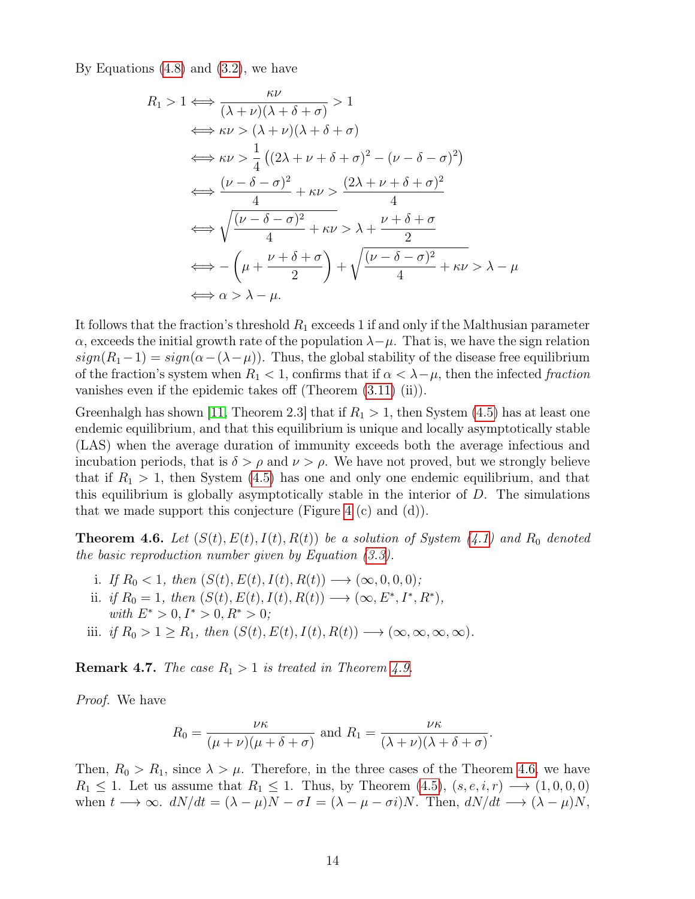By Equations  $(4.8)$  and  $(3.2)$ , we have

$$
R_1 > 1 \Longleftrightarrow \frac{\kappa \nu}{(\lambda + \nu)(\lambda + \delta + \sigma)} > 1
$$
  
\n
$$
\Longleftrightarrow \kappa \nu > (\lambda + \nu)(\lambda + \delta + \sigma)
$$
  
\n
$$
\Longleftrightarrow \kappa \nu > \frac{1}{4} ((2\lambda + \nu + \delta + \sigma)^2 - (\nu - \delta - \sigma)^2)
$$
  
\n
$$
\Longleftrightarrow \frac{(\nu - \delta - \sigma)^2}{4} + \kappa \nu > \frac{(2\lambda + \nu + \delta + \sigma)^2}{4}
$$
  
\n
$$
\Longleftrightarrow \sqrt{\frac{(\nu - \delta - \sigma)^2}{4} + \kappa \nu > \lambda + \frac{\nu + \delta + \sigma}{2}}
$$
  
\n
$$
\Longleftrightarrow -(\mu + \frac{\nu + \delta + \sigma}{2}) + \sqrt{\frac{(\nu - \delta - \sigma)^2}{4} + \kappa \nu > \lambda - \mu}
$$
  
\n
$$
\Longleftrightarrow \alpha > \lambda - \mu.
$$

It follows that the fraction's threshold  $R_1$  exceeds 1 if and only if the Malthusian parameter  $\alpha$ , exceeds the initial growth rate of the population  $\lambda-\mu$ . That is, we have the sign relation  $sign(R_1-1) = sign(\alpha-(\lambda-\mu))$ . Thus, the global stability of the disease free equilibrium of the fraction's system when  $R_1 < 1$ , confirms that if  $\alpha < \lambda - \mu$ , then the infected fraction vanishes even if the epidemic takes off (Theorem [\(3.11\)](#page-8-2) (ii)).

Greenhalgh has shown [\[11,](#page-27-0) Theorem 2.3] that if  $R_1 > 1$ , then System [\(4.5\)](#page-11-0) has at least one endemic equilibrium, and that this equilibrium is unique and locally asymptotically stable (LAS) when the average duration of immunity exceeds both the average infectious and incubation periods, that is  $\delta > \rho$  and  $\nu > \rho$ . We have not proved, but we strongly believe that if  $R_1 > 1$ , then System [\(4.5\)](#page-11-0) has one and only one endemic equilibrium, and that this equilibrium is globally asymptotically stable in the interior of  $D$ . The simulations that we made support this conjecture (Figure [4](#page-18-0)  $(c)$  and  $(d)$ ).

**Theorem 4.6.** Let  $(S(t), E(t), I(t), R(t))$  be a solution of System [\(4.1\)](#page-9-1) and R<sub>0</sub> denoted the basic reproduction number given by Equation [\(3.3\)](#page-5-0).

- i. If  $R_0 < 1$ , then  $(S(t), E(t), I(t), R(t)) \longrightarrow (\infty, 0, 0, 0)$ ; ii. if  $R_0 = 1$ , then  $(S(t), E(t), I(t), R(t)) \longrightarrow (\infty, E^*, I^*, R^*),$ with  $E^* > 0, I^* > 0, R^* > 0;$
- <span id="page-13-0"></span>iii. if  $R_0 > 1 \ge R_1$ , then  $(S(t), E(t), I(t), R(t)) \longrightarrow (\infty, \infty, \infty, \infty)$ .

**Remark 4.7.** The case  $R_1 > 1$  is treated in Theorem [4.9.](#page-15-1)

Proof. We have

$$
R_0 = \frac{\nu \kappa}{(\mu + \nu)(\mu + \delta + \sigma)} \text{ and } R_1 = \frac{\nu \kappa}{(\lambda + \nu)(\lambda + \delta + \sigma)}.
$$

Then,  $R_0 > R_1$ , since  $\lambda > \mu$ . Therefore, in the three cases of the Theorem [4.6,](#page-13-0) we have  $R_1 \leq 1$ . Let us assume that  $R_1 \leq 1$ . Thus, by Theorem [\(4.5\)](#page-12-0),  $(s, e, i, r) \longrightarrow (1, 0, 0, 0)$ when  $t \longrightarrow \infty$ .  $dN/dt = (\lambda - \mu)N - \sigma I = (\lambda - \mu - \sigma i)N$ . Then,  $dN/dt \longrightarrow (\lambda - \mu)N$ ,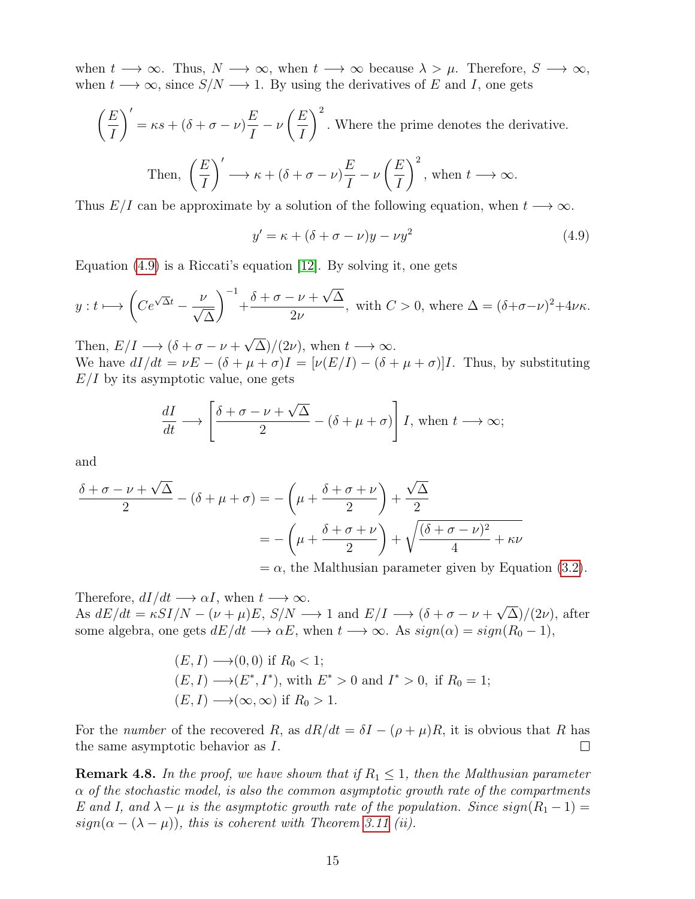when  $t \to \infty$ . Thus,  $N \to \infty$ , when  $t \to \infty$  because  $\lambda > \mu$ . Therefore,  $S \to \infty$ , when  $t \longrightarrow \infty$ , since  $S/N \longrightarrow 1$ . By using the derivatives of E and I, one gets

$$
\left(\frac{E}{I}\right)' = \kappa s + (\delta + \sigma - \nu)\frac{E}{I} - \nu\left(\frac{E}{I}\right)^2.
$$
 Where the prime denotes the derivative.  
Then, 
$$
\left(\frac{E}{I}\right)' \longrightarrow \kappa + (\delta + \sigma - \nu)\frac{E}{I} - \nu\left(\frac{E}{I}\right)^2
$$
, when  $t \longrightarrow \infty$ .

Thus  $E/I$  can be approximate by a solution of the following equation, when  $t \rightarrow \infty$ .

<span id="page-14-0"></span>
$$
y' = \kappa + (\delta + \sigma - \nu)y - \nu y^2 \tag{4.9}
$$

Equation [\(4.9\)](#page-14-0) is a Riccati's equation [\[12\]](#page-27-7). By solving it, one gets

$$
y: t \longmapsto \left( Ce^{\sqrt{\Delta}t} - \frac{\nu}{\sqrt{\Delta}} \right)^{-1} + \frac{\delta + \sigma - \nu + \sqrt{\Delta}}{2\nu}
$$
, with  $C > 0$ , where  $\Delta = (\delta + \sigma - \nu)^2 + 4\nu\kappa$ .

Then,  $E/I \longrightarrow (\delta + \sigma - \nu +$ √  $(\Delta)/(2\nu)$ , when  $t \longrightarrow \infty$ . We have  $dI/dt = \nu E - (\delta + \mu + \sigma)I = [\nu(E/I) - (\delta + \mu + \sigma)]I$ . Thus, by substituting  $E/I$  by its asymptotic value, one gets

$$
\frac{dI}{dt} \longrightarrow \left[ \frac{\delta + \sigma - \nu + \sqrt{\Delta}}{2} - (\delta + \mu + \sigma) \right] I, \text{ when } t \longrightarrow \infty;
$$

and

$$
\frac{\delta + \sigma - \nu + \sqrt{\Delta}}{2} - (\delta + \mu + \sigma) = -\left(\mu + \frac{\delta + \sigma + \nu}{2}\right) + \frac{\sqrt{\Delta}}{2}
$$

$$
= -\left(\mu + \frac{\delta + \sigma + \nu}{2}\right) + \sqrt{\frac{(\delta + \sigma - \nu)^2}{4} + \kappa\nu}
$$

 $=\alpha$ , the Malthusian parameter given by Equation [\(3.2\)](#page-4-1).

Therefore,  $dI/dt \rightarrow \alpha I$ , when  $t \rightarrow \infty$ . As  $dE/dt = \kappa SI/N - (\nu + \mu)E$ ,  $S/N \rightarrow 1$  and  $E/I \rightarrow (\delta + \sigma - \nu + \sigma)E$ √  $\Delta$ )/(2 $\nu$ ), after some algebra, one gets  $dE/dt \rightarrow \alpha E$ , when  $t \rightarrow \infty$ . As  $sign(\alpha) = sign(R_0 - 1)$ ,

$$
(E, I) \longrightarrow (0, 0) \text{ if } R_0 < 1;
$$
\n
$$
(E, I) \longrightarrow (E^*, I^*), \text{ with } E^* > 0 \text{ and } I^* > 0, \text{ if } R_0 = 1;
$$
\n
$$
(E, I) \longrightarrow (\infty, \infty) \text{ if } R_0 > 1.
$$

For the number of the recovered R, as  $dR/dt = \delta I - (\rho + \mu)R$ , it is obvious that R has the same asymptotic behavior as I.  $\Box$ 

**Remark 4.8.** In the proof, we have shown that if  $R_1 \leq 1$ , then the Malthusian parameter  $\alpha$  of the stochastic model, is also the common asymptotic growth rate of the compartments E and I, and  $\lambda - \mu$  is the asymptotic growth rate of the population. Since  $sign(R_1 - 1) =$  $sign(\alpha - (\lambda - \mu))$ , this is coherent with Theorem [3.11](#page-8-2) (ii).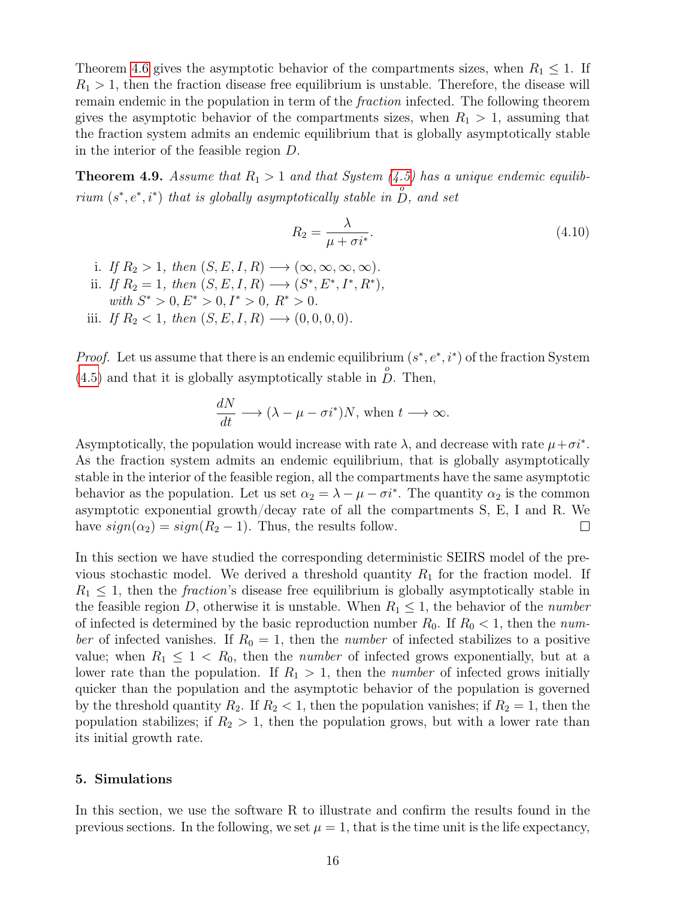Theorem [4.6](#page-13-0) gives the asymptotic behavior of the compartments sizes, when  $R_1 \leq 1$ . If  $R_1 > 1$ , then the fraction disease free equilibrium is unstable. Therefore, the disease will remain endemic in the population in term of the fraction infected. The following theorem gives the asymptotic behavior of the compartments sizes, when  $R_1 > 1$ , assuming that the fraction system admits an endemic equilibrium that is globally asymptotically stable in the interior of the feasible region D.

**Theorem 4.9.** Assume that  $R_1 > 1$  and that System  $(4.5)$  has a unique endemic equilibrium  $(s^*, e^*, i^*)$  that is globally asymptotically stable in  $\stackrel{o}{D}$ , and set

$$
R_2 = \frac{\lambda}{\mu + \sigma i^*}.\tag{4.10}
$$

- i. If  $R_2 > 1$ , then  $(S, E, I, R) \longrightarrow (\infty, \infty, \infty, \infty)$ . ii. If  $R_2 = 1$ , then  $(S, E, I, R) \longrightarrow (S^*, E^*, I^*, R^*)$ , with  $S^* > 0, E^* > 0, I^* > 0, R^* > 0.$
- <span id="page-15-1"></span>iii. If  $R_2 < 1$ , then  $(S, E, I, R) \longrightarrow (0, 0, 0, 0)$ .

*Proof.* Let us assume that there is an endemic equilibrium  $(s^*, e^*, i^*)$  of the fraction System  $(4.5)$  and that it is globally asymptotically stable in  $\stackrel{\circ}{D}$ . Then,

$$
\frac{dN}{dt} \longrightarrow (\lambda - \mu - \sigma i^*)N, \text{ when } t \longrightarrow \infty.
$$

Asymptotically, the population would increase with rate  $\lambda$ , and decrease with rate  $\mu + \sigma i^*$ . As the fraction system admits an endemic equilibrium, that is globally asymptotically stable in the interior of the feasible region, all the compartments have the same asymptotic behavior as the population. Let us set  $\alpha_2 = \lambda - \mu - \sigma i^*$ . The quantity  $\alpha_2$  is the common asymptotic exponential growth/decay rate of all the compartments S, E, I and R. We have  $sign(\alpha_2) = sign(R_2 - 1)$ . Thus, the results follow.  $\Box$ 

In this section we have studied the corresponding deterministic SEIRS model of the previous stochastic model. We derived a threshold quantity  $R_1$  for the fraction model. If  $R_1 \leq 1$ , then the *fraction*'s disease free equilibrium is globally asymptotically stable in the feasible region D, otherwise it is unstable. When  $R_1 \leq 1$ , the behavior of the number of infected is determined by the basic reproduction number  $R_0$ . If  $R_0 < 1$ , then the number of infected vanishes. If  $R_0 = 1$ , then the *number* of infected stabilizes to a positive value; when  $R_1 \leq 1 \leq R_0$ , then the *number* of infected grows exponentially, but at a lower rate than the population. If  $R_1 > 1$ , then the *number* of infected grows initially quicker than the population and the asymptotic behavior of the population is governed by the threshold quantity  $R_2$ . If  $R_2 < 1$ , then the population vanishes; if  $R_2 = 1$ , then the population stabilizes; if  $R_2 > 1$ , then the population grows, but with a lower rate than its initial growth rate.

# <span id="page-15-0"></span>5. Simulations

In this section, we use the software R to illustrate and confirm the results found in the previous sections. In the following, we set  $\mu = 1$ , that is the time unit is the life expectancy,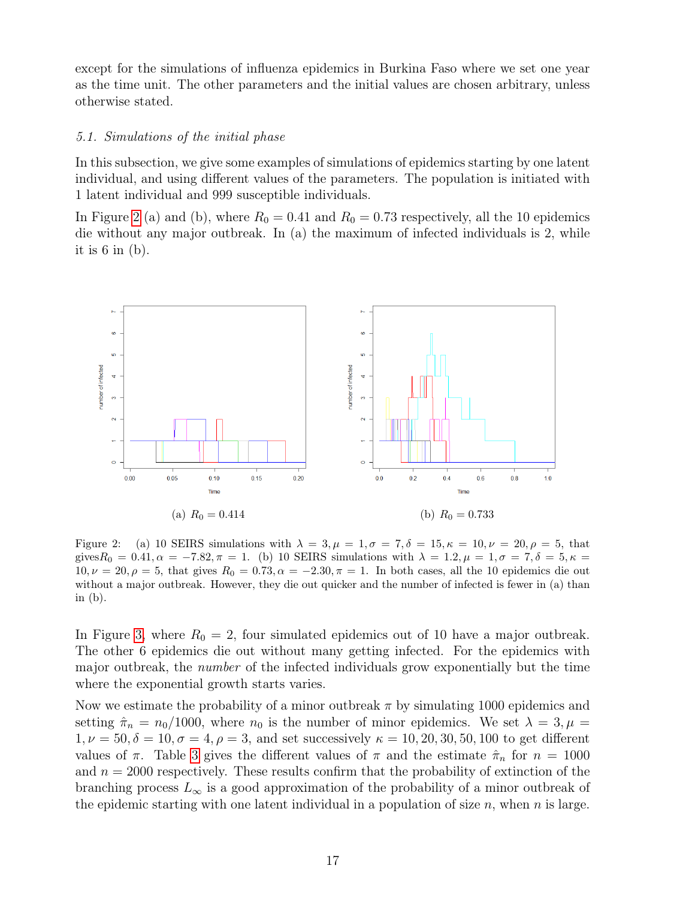except for the simulations of influenza epidemics in Burkina Faso where we set one year as the time unit. The other parameters and the initial values are chosen arbitrary, unless otherwise stated.

# 5.1. Simulations of the initial phase

In this subsection, we give some examples of simulations of epidemics starting by one latent individual, and using different values of the parameters. The population is initiated with 1 latent individual and 999 susceptible individuals.

In Figure [2](#page-16-0) (a) and (b), where  $R_0 = 0.41$  and  $R_0 = 0.73$  respectively, all the 10 epidemics die without any major outbreak. In (a) the maximum of infected individuals is 2, while it is  $6$  in  $(b)$ .



<span id="page-16-0"></span>Figure 2: (a) 10 SEIRS simulations with  $\lambda = 3, \mu = 1, \sigma = 7, \delta = 15, \kappa = 10, \nu = 20, \rho = 5$ , that gives  $R_0 = 0.41, \alpha = -7.82, \pi = 1$ . (b) 10 SEIRS simulations with  $\lambda = 1.2, \mu = 1, \sigma = 7, \delta = 5, \kappa = 1$ .  $10, \nu = 20, \rho = 5$ , that gives  $R_0 = 0.73, \alpha = -2.30, \pi = 1$ . In both cases, all the 10 epidemics die out without a major outbreak. However, they die out quicker and the number of infected is fewer in (a) than in (b).

In Figure [3,](#page-17-0) where  $R_0 = 2$ , four simulated epidemics out of 10 have a major outbreak. The other 6 epidemics die out without many getting infected. For the epidemics with major outbreak, the number of the infected individuals grow exponentially but the time where the exponential growth starts varies.

Now we estimate the probability of a minor outbreak  $\pi$  by simulating 1000 epidemics and setting  $\hat{\pi}_n = n_0/1000$ , where  $n_0$  is the number of minor epidemics. We set  $\lambda = 3, \mu =$  $1, \nu = 50, \delta = 10, \sigma = 4, \rho = 3$ , and set successively  $\kappa = 10, 20, 30, 50, 100$  to get different values of  $\pi$ . Table [3](#page-17-1) gives the different values of  $\pi$  and the estimate  $\hat{\pi}_n$  for  $n = 1000$ and  $n = 2000$  respectively. These results confirm that the probability of extinction of the branching process  $L_{\infty}$  is a good approximation of the probability of a minor outbreak of the epidemic starting with one latent individual in a population of size  $n$ , when  $n$  is large.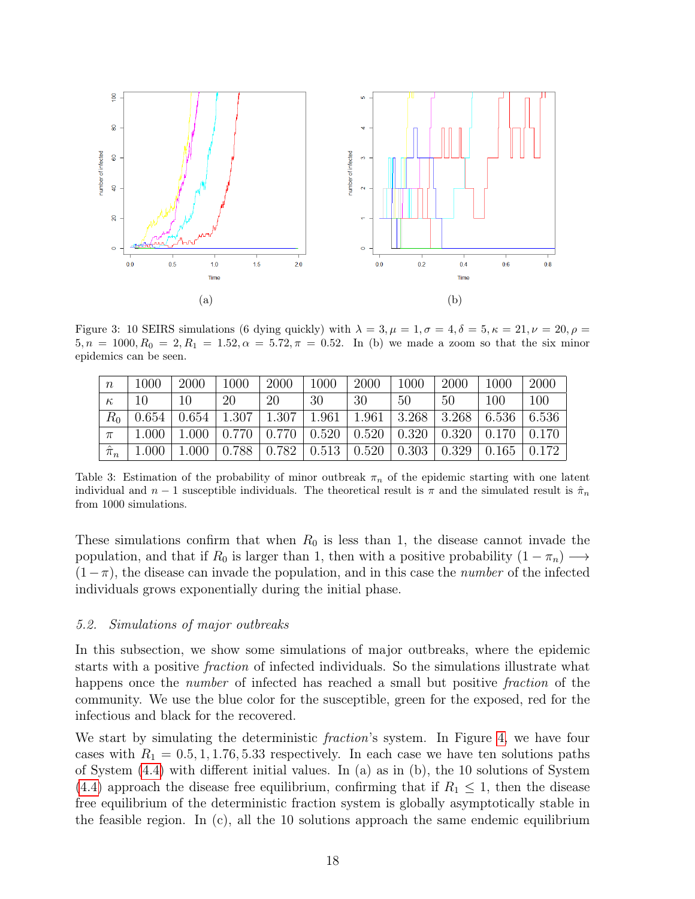

<span id="page-17-0"></span>Figure 3: 10 SEIRS simulations (6 dying quickly) with  $\lambda = 3, \mu = 1, \sigma = 4, \delta = 5, \kappa = 21, \nu = 20, \rho =$  $5, n = 1000, R_0 = 2, R_1 = 1.52, \alpha = 5.72, \pi = 0.52$ . In (b) we made a zoom so that the six minor epidemics can be seen.

| $\boldsymbol{n}$ | 1000  | 2000 | 1000                                                                    | 2000 | 1000 | 2000 | 1000 | 2000 | 1000 | 2000                                                                                                 |
|------------------|-------|------|-------------------------------------------------------------------------|------|------|------|------|------|------|------------------------------------------------------------------------------------------------------|
| $\kappa$         | -10   | 10   | 20                                                                      | 20   | 30   | 30   | 50   | 50   | 100  | 100                                                                                                  |
| $R_{0}$          | 0.654 |      | $0.654$   1.307   1.307   1.961   1.961   3.268   3.268   6.536   6.536 |      |      |      |      |      |      |                                                                                                      |
| $\pi$            | 1.000 |      |                                                                         |      |      |      |      |      |      | $1.000 \mid 0.770 \mid 0.770 \mid 0.520 \mid 0.520 \mid 0.320 \mid 0.320 \mid 0.170 \mid 0.170 \mid$ |
| $\hat{\pi}_n$    | 1.000 |      |                                                                         |      |      |      |      |      |      | $1.000 \mid 0.788 \mid 0.782 \mid 0.513 \mid 0.520 \mid 0.303 \mid 0.329 \mid 0.165 \mid 0.172 \mid$ |

<span id="page-17-1"></span>Table 3: Estimation of the probability of minor outbreak  $\pi_n$  of the epidemic starting with one latent individual and  $n-1$  susceptible individuals. The theoretical result is  $\pi$  and the simulated result is  $\hat{\pi}_n$ from 1000 simulations.

These simulations confirm that when  $R_0$  is less than 1, the disease cannot invade the population, and that if  $R_0$  is larger than 1, then with a positive probability  $(1 - \pi_n) \longrightarrow$  $(1-\pi)$ , the disease can invade the population, and in this case the *number* of the infected individuals grows exponentially during the initial phase.

#### 5.2. Simulations of major outbreaks

In this subsection, we show some simulations of major outbreaks, where the epidemic starts with a positive fraction of infected individuals. So the simulations illustrate what happens once the *number* of infected has reached a small but positive *fraction* of the community. We use the blue color for the susceptible, green for the exposed, red for the infectious and black for the recovered.

We start by simulating the deterministic *fraction*'s system. In Figure [4,](#page-18-0) we have four cases with  $R_1 = 0.5, 1, 1.76, 5.33$  respectively. In each case we have ten solutions paths of System [\(4.4\)](#page-10-2) with different initial values. In (a) as in (b), the 10 solutions of System [\(4.4\)](#page-10-2) approach the disease free equilibrium, confirming that if  $R_1 \leq 1$ , then the disease free equilibrium of the deterministic fraction system is globally asymptotically stable in the feasible region. In (c), all the 10 solutions approach the same endemic equilibrium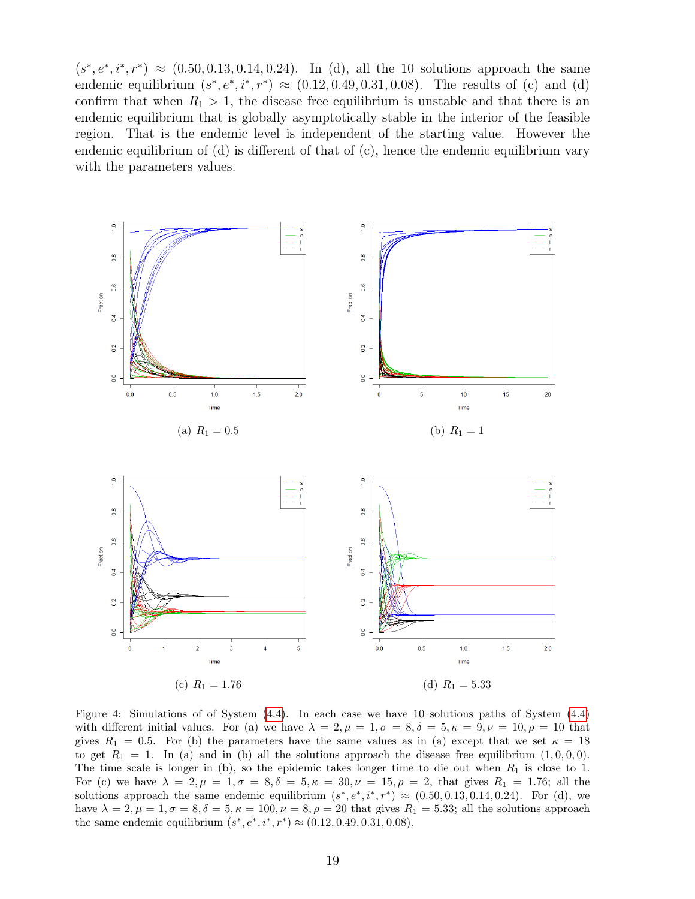$(s^*, e^*, i^*, r^*) \approx (0.50, 0.13, 0.14, 0.24)$ . In (d), all the 10 solutions approach the same endemic equilibrium  $(s^*, e^*, i^*, r^*) \approx (0.12, 0.49, 0.31, 0.08)$ . The results of (c) and (d) confirm that when  $R_1 > 1$ , the disease free equilibrium is unstable and that there is an endemic equilibrium that is globally asymptotically stable in the interior of the feasible region. That is the endemic level is independent of the starting value. However the endemic equilibrium of  $(d)$  is different of that of  $(c)$ , hence the endemic equilibrium vary with the parameters values.



<span id="page-18-0"></span>Figure 4: Simulations of of System [\(4.4\)](#page-10-2). In each case we have 10 solutions paths of System [\(4.4\)](#page-10-2) with different initial values. For (a) we have  $\lambda = 2, \mu = 1, \sigma = 8, \delta = 5, \kappa = 9, \nu = 10, \rho = 10$  that gives  $R_1 = 0.5$ . For (b) the parameters have the same values as in (a) except that we set  $\kappa = 18$ to get  $R_1 = 1$ . In (a) and in (b) all the solutions approach the disease free equilibrium  $(1, 0, 0, 0)$ . The time scale is longer in (b), so the epidemic takes longer time to die out when  $R_1$  is close to 1. For (c) we have  $\lambda = 2, \mu = 1, \sigma = 8, \delta = 5, \kappa = 30, \nu = 15, \rho = 2$ , that gives  $R_1 = 1.76$ ; all the solutions approach the same endemic equilibrium  $(s^*, e^*, i^*, r^*) \approx (0.50, 0.13, 0.14, 0.24)$ . For (d), we have  $\lambda = 2, \mu = 1, \sigma = 8, \delta = 5, \kappa = 100, \nu = 8, \rho = 20$  that gives  $R_1 = 5.33$ ; all the solutions approach the same endemic equilibrium  $(s^*, e^*, i^*, r^*) \approx (0.12, 0.49, 0.31, 0.08)$ .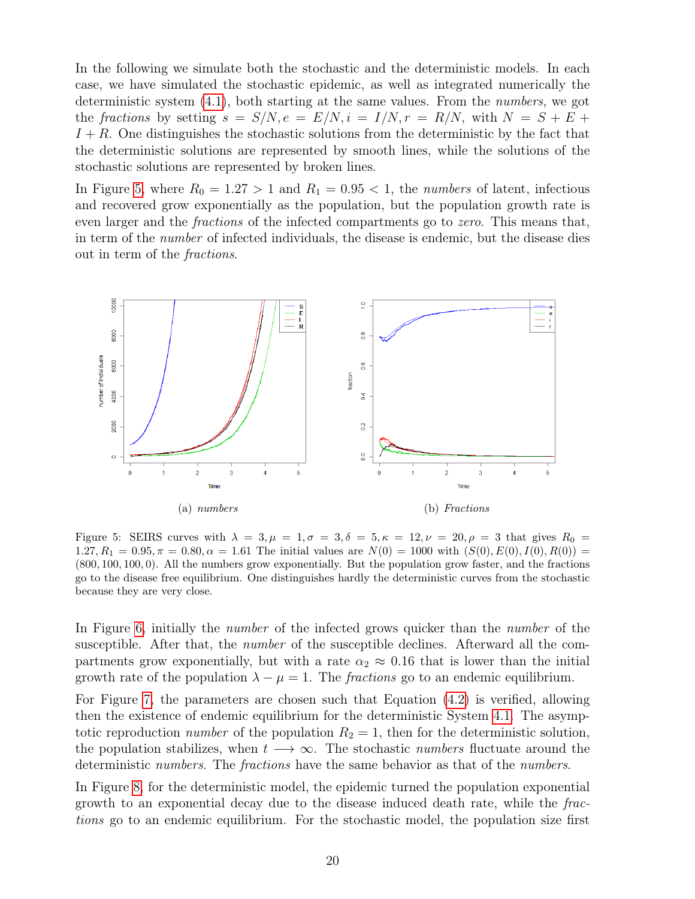In the following we simulate both the stochastic and the deterministic models. In each case, we have simulated the stochastic epidemic, as well as integrated numerically the deterministic system [\(4.1\)](#page-9-1), both starting at the same values. From the numbers, we got the fractions by setting  $s = S/N$ ,  $e = E/N$ ,  $i = I/N$ ,  $r = R/N$ , with  $N = S + E +$  $I + R$ . One distinguishes the stochastic solutions from the deterministic by the fact that the deterministic solutions are represented by smooth lines, while the solutions of the stochastic solutions are represented by broken lines.

In Figure [5,](#page-19-0) where  $R_0 = 1.27 > 1$  and  $R_1 = 0.95 < 1$ , the numbers of latent, infectious and recovered grow exponentially as the population, but the population growth rate is even larger and the *fractions* of the infected compartments go to *zero*. This means that, in term of the number of infected individuals, the disease is endemic, but the disease dies out in term of the fractions.



<span id="page-19-0"></span>Figure 5: SEIRS curves with  $\lambda = 3, \mu = 1, \sigma = 3, \delta = 5, \kappa = 12, \nu = 20, \rho = 3$  that gives  $R_0 =$  $1.27, R_1 = 0.95, \pi = 0.80, \alpha = 1.61$  The initial values are  $N(0) = 1000$  with  $(S(0), E(0), I(0), R(0)) =$ (800, 100, 100, 0). All the numbers grow exponentially. But the population grow faster, and the fractions go to the disease free equilibrium. One distinguishes hardly the deterministic curves from the stochastic because they are very close.

In Figure [6,](#page-20-0) initially the *number* of the infected grows quicker than the *number* of the susceptible. After that, the number of the susceptible declines. Afterward all the compartments grow exponentially, but with a rate  $\alpha_2 \approx 0.16$  that is lower than the initial growth rate of the population  $\lambda - \mu = 1$ . The *fractions* go to an endemic equilibrium.

For Figure [7,](#page-20-1) the parameters are chosen such that Equation [\(4.2\)](#page-10-0) is verified, allowing then the existence of endemic equilibrium for the deterministic System [4.1.](#page-9-1) The asymptotic reproduction *number* of the population  $R_2 = 1$ , then for the deterministic solution, the population stabilizes, when  $t \rightarrow \infty$ . The stochastic *numbers* fluctuate around the deterministic numbers. The fractions have the same behavior as that of the numbers.

In Figure [8,](#page-21-0) for the deterministic model, the epidemic turned the population exponential growth to an exponential decay due to the disease induced death rate, while the fractions go to an endemic equilibrium. For the stochastic model, the population size first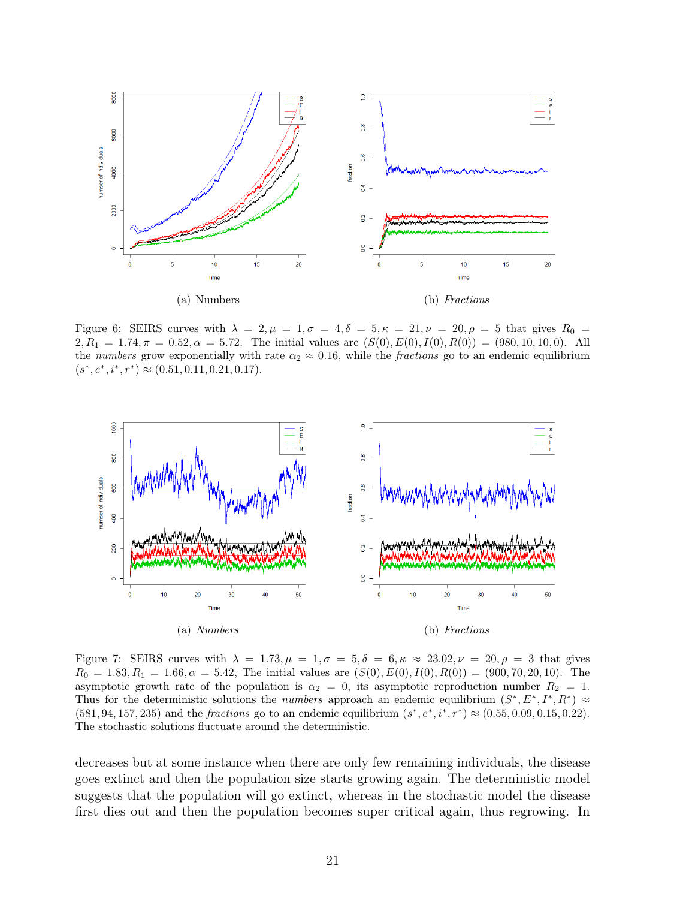

<span id="page-20-0"></span>Figure 6: SEIRS curves with  $\lambda = 2, \mu = 1, \sigma = 4, \delta = 5, \kappa = 21, \nu = 20, \rho = 5$  that gives  $R_0 =$  $2, R_1 = 1.74, \pi = 0.52, \alpha = 5.72.$  The initial values are  $(S(0), E(0), I(0), R(0)) = (980, 10, 10, 0).$  All the numbers grow exponentially with rate  $\alpha_2 \approx 0.16$ , while the fractions go to an endemic equilibrium  $(s^*, e^*, i^*, r^*) \approx (0.51, 0.11, 0.21, 0.17).$ 



<span id="page-20-1"></span>Figure 7: SEIRS curves with  $\lambda = 1.73, \mu = 1, \sigma = 5, \delta = 6, \kappa \approx 23.02, \nu = 20, \rho = 3$  that gives  $R_0 = 1.83, R_1 = 1.66, \alpha = 5.42,$  The initial values are  $(S(0), E(0), I(0), R(0)) = (900, 70, 20, 10).$  The asymptotic growth rate of the population is  $\alpha_2 = 0$ , its asymptotic reproduction number  $R_2 = 1$ . Thus for the deterministic solutions the *numbers* approach an endemic equilibrium  $(S^*, E^*, I^*, R^*) \approx$  $(581, 94, 157, 235)$  and the *fractions* go to an endemic equilibrium  $(s^*, e^*, i^*, r^*) \approx (0.55, 0.09, 0.15, 0.22)$ . The stochastic solutions fluctuate around the deterministic.

decreases but at some instance when there are only few remaining individuals, the disease goes extinct and then the population size starts growing again. The deterministic model suggests that the population will go extinct, whereas in the stochastic model the disease first dies out and then the population becomes super critical again, thus regrowing. In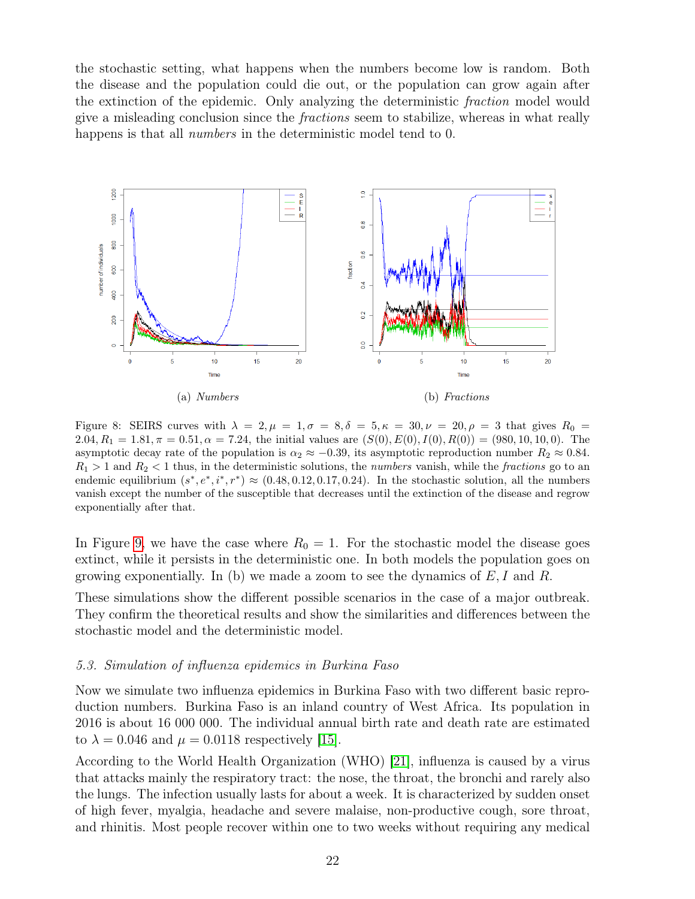the stochastic setting, what happens when the numbers become low is random. Both the disease and the population could die out, or the population can grow again after the extinction of the epidemic. Only analyzing the deterministic fraction model would give a misleading conclusion since the fractions seem to stabilize, whereas in what really happens is that all *numbers* in the deterministic model tend to 0.



<span id="page-21-0"></span>Figure 8: SEIRS curves with  $\lambda = 2, \mu = 1, \sigma = 8, \delta = 5, \kappa = 30, \nu = 20, \rho = 3$  that gives  $R_0 =$ 2.04,  $R_1 = 1.81, \pi = 0.51, \alpha = 7.24$ , the initial values are  $(S(0), E(0), I(0), R(0)) = (980, 10, 10, 0)$ . The asymptotic decay rate of the population is  $\alpha_2 \approx -0.39$ , its asymptotic reproduction number  $R_2 \approx 0.84$ .  $R_1 > 1$  and  $R_2 < 1$  thus, in the deterministic solutions, the *numbers* vanish, while the *fractions* go to an endemic equilibrium  $(s^*, e^*, i^*, r^*) \approx (0.48, 0.12, 0.17, 0.24)$ . In the stochastic solution, all the numbers vanish except the number of the susceptible that decreases until the extinction of the disease and regrow exponentially after that.

In Figure [9,](#page-22-0) we have the case where  $R_0 = 1$ . For the stochastic model the disease goes extinct, while it persists in the deterministic one. In both models the population goes on growing exponentially. In (b) we made a zoom to see the dynamics of  $E, I$  and  $R$ .

These simulations show the different possible scenarios in the case of a major outbreak. They confirm the theoretical results and show the similarities and differences between the stochastic model and the deterministic model.

#### 5.3. Simulation of influenza epidemics in Burkina Faso

Now we simulate two influenza epidemics in Burkina Faso with two different basic reproduction numbers. Burkina Faso is an inland country of West Africa. Its population in 2016 is about 16 000 000. The individual annual birth rate and death rate are estimated to  $\lambda = 0.046$  and  $\mu = 0.0118$  respectively [\[15\]](#page-27-8).

According to the World Health Organization (WHO) [\[21\]](#page-28-1), influenza is caused by a virus that attacks mainly the respiratory tract: the nose, the throat, the bronchi and rarely also the lungs. The infection usually lasts for about a week. It is characterized by sudden onset of high fever, myalgia, headache and severe malaise, non-productive cough, sore throat, and rhinitis. Most people recover within one to two weeks without requiring any medical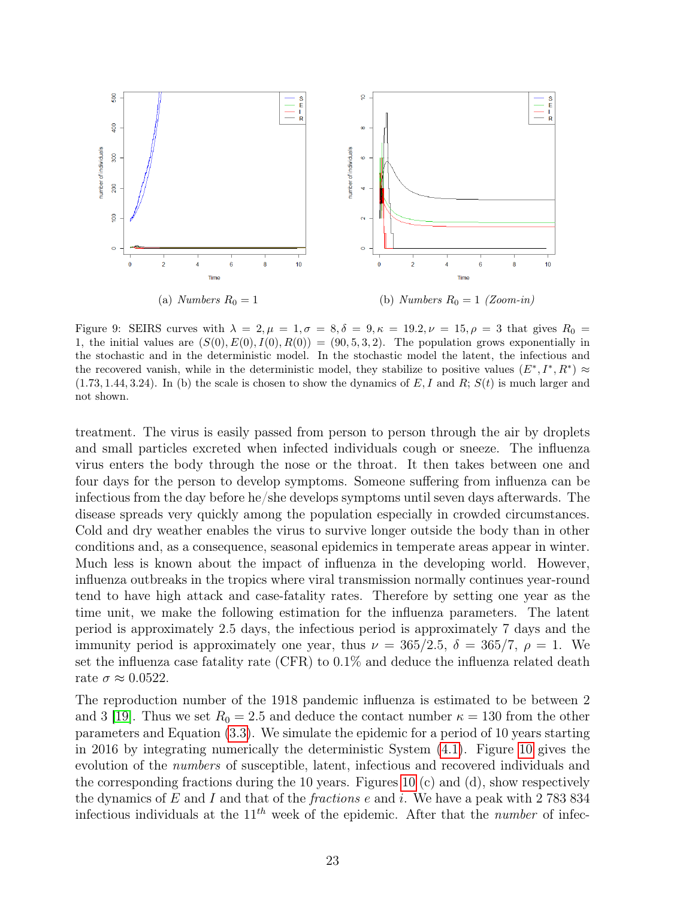

<span id="page-22-0"></span>Figure 9: SEIRS curves with  $\lambda = 2, \mu = 1, \sigma = 8, \delta = 9, \kappa = 19.2, \nu = 15, \rho = 3$  that gives  $R_0 =$ 1, the initial values are  $(S(0), E(0), I(0), R(0)) = (90, 5, 3, 2)$ . The population grows exponentially in the stochastic and in the deterministic model. In the stochastic model the latent, the infectious and the recovered vanish, while in the deterministic model, they stabilize to positive values  $(E^*, I^*, R^*) \approx$  $(1.73, 1.44, 3.24)$ . In (b) the scale is chosen to show the dynamics of E, I and R;  $S(t)$  is much larger and not shown.

treatment. The virus is easily passed from person to person through the air by droplets and small particles excreted when infected individuals cough or sneeze. The influenza virus enters the body through the nose or the throat. It then takes between one and four days for the person to develop symptoms. Someone suffering from influenza can be infectious from the day before he/she develops symptoms until seven days afterwards. The disease spreads very quickly among the population especially in crowded circumstances. Cold and dry weather enables the virus to survive longer outside the body than in other conditions and, as a consequence, seasonal epidemics in temperate areas appear in winter. Much less is known about the impact of influenza in the developing world. However, influenza outbreaks in the tropics where viral transmission normally continues year-round tend to have high attack and case-fatality rates. Therefore by setting one year as the time unit, we make the following estimation for the influenza parameters. The latent period is approximately 2.5 days, the infectious period is approximately 7 days and the immunity period is approximately one year, thus  $\nu = 365/2.5$ ,  $\delta = 365/7$ ,  $\rho = 1$ . We set the influenza case fatality rate (CFR) to 0.1% and deduce the influenza related death rate  $\sigma \approx 0.0522$ .

The reproduction number of the 1918 pandemic influenza is estimated to be between 2 and 3 [\[19\]](#page-27-9). Thus we set  $R_0 = 2.5$  and deduce the contact number  $\kappa = 130$  from the other parameters and Equation [\(3.3\)](#page-5-0). We simulate the epidemic for a period of 10 years starting in 2016 by integrating numerically the deterministic System [\(4.1\)](#page-9-1). Figure [10](#page-24-0) gives the evolution of the numbers of susceptible, latent, infectious and recovered individuals and the corresponding fractions during the [10](#page-24-0) years. Figures 10 (c) and (d), show respectively the dynamics of  $E$  and  $I$  and that of the *fractions e* and  $i$ . We have a peak with 2 783 834 infectious individuals at the  $11^{th}$  week of the epidemic. After that the *number* of infec-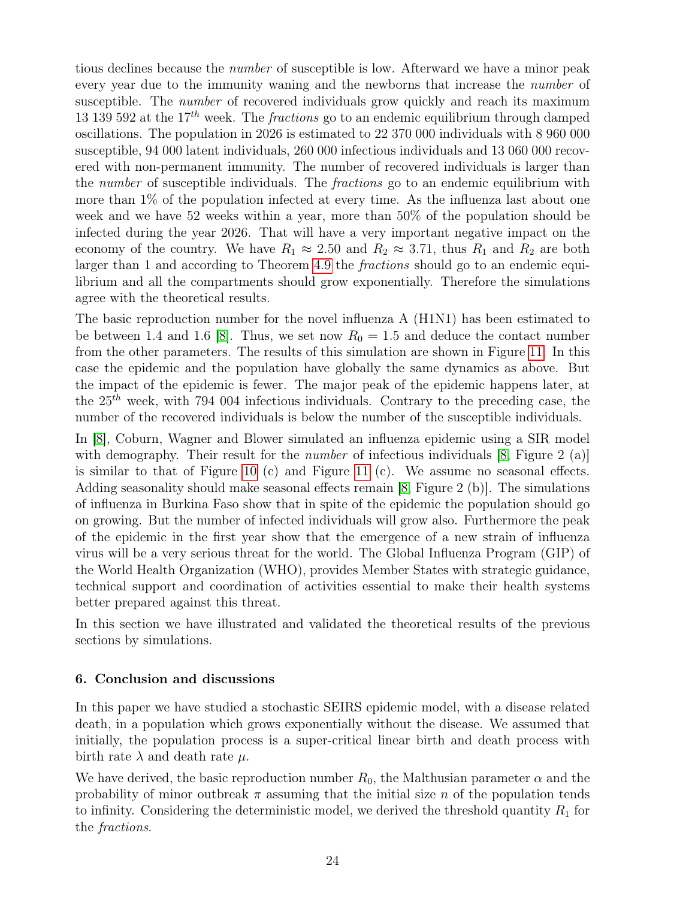tious declines because the number of susceptible is low. Afterward we have a minor peak every year due to the immunity waning and the newborns that increase the *number* of susceptible. The number of recovered individuals grow quickly and reach its maximum 13 139 592 at the  $17^{th}$  week. The *fractions* go to an endemic equilibrium through damped oscillations. The population in 2026 is estimated to 22 370 000 individuals with 8 960 000 susceptible, 94 000 latent individuals, 260 000 infectious individuals and 13 060 000 recovered with non-permanent immunity. The number of recovered individuals is larger than the *number* of susceptible individuals. The *fractions* go to an endemic equilibrium with more than 1% of the population infected at every time. As the influenza last about one week and we have 52 weeks within a year, more than 50% of the population should be infected during the year 2026. That will have a very important negative impact on the economy of the country. We have  $R_1 \approx 2.50$  and  $R_2 \approx 3.71$ , thus  $R_1$  and  $R_2$  are both larger than 1 and according to Theorem [4.9](#page-15-1) the fractions should go to an endemic equilibrium and all the compartments should grow exponentially. Therefore the simulations agree with the theoretical results.

The basic reproduction number for the novel influenza A (H1N1) has been estimated to be between 1.4 and 1.6 [\[8\]](#page-27-10). Thus, we set now  $R_0 = 1.5$  and deduce the contact number from the other parameters. The results of this simulation are shown in Figure [11.](#page-25-0) In this case the epidemic and the population have globally the same dynamics as above. But the impact of the epidemic is fewer. The major peak of the epidemic happens later, at the  $25<sup>th</sup>$  week, with 794 004 infectious individuals. Contrary to the preceding case, the number of the recovered individuals is below the number of the susceptible individuals.

In [\[8\]](#page-27-10), Coburn, Wagner and Blower simulated an influenza epidemic using a SIR model with demography. Their result for the *number* of infectious individuals [\[8,](#page-27-10) Figure 2 (a)] is similar to that of Figure [10](#page-24-0) (c) and Figure [11](#page-25-0) (c). We assume no seasonal effects. Adding seasonality should make seasonal effects remain [\[8,](#page-27-10) Figure 2 (b)]. The simulations of influenza in Burkina Faso show that in spite of the epidemic the population should go on growing. But the number of infected individuals will grow also. Furthermore the peak of the epidemic in the first year show that the emergence of a new strain of influenza virus will be a very serious threat for the world. The Global Influenza Program (GIP) of the World Health Organization (WHO), provides Member States with strategic guidance, technical support and coordination of activities essential to make their health systems better prepared against this threat.

In this section we have illustrated and validated the theoretical results of the previous sections by simulations.

# 6. Conclusion and discussions

In this paper we have studied a stochastic SEIRS epidemic model, with a disease related death, in a population which grows exponentially without the disease. We assumed that initially, the population process is a super-critical linear birth and death process with birth rate  $\lambda$  and death rate  $\mu$ .

We have derived, the basic reproduction number  $R_0$ , the Malthusian parameter  $\alpha$  and the probability of minor outbreak  $\pi$  assuming that the initial size n of the population tends to infinity. Considering the deterministic model, we derived the threshold quantity  $R_1$  for the fractions.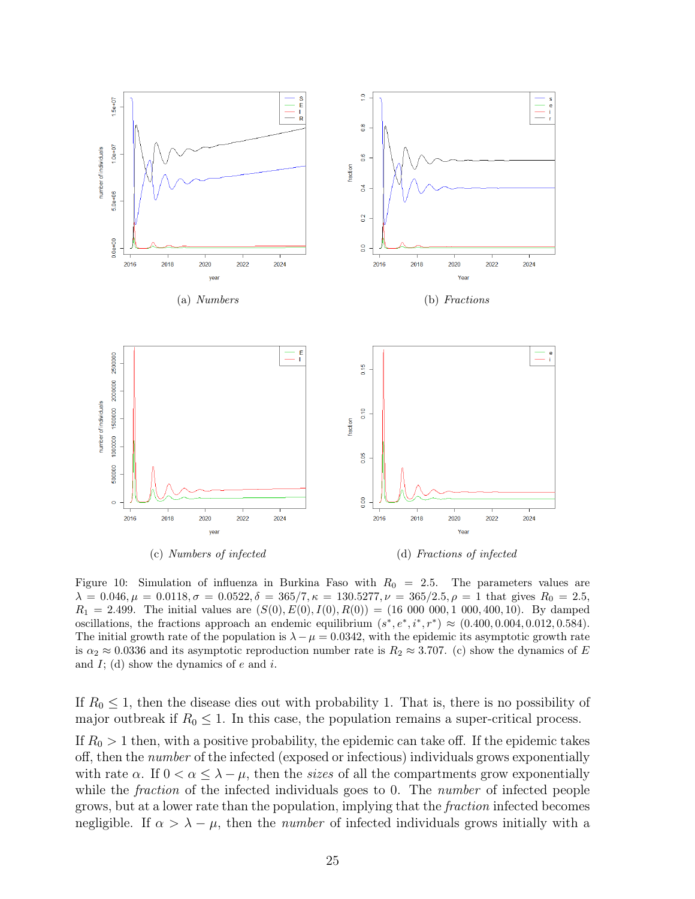

<span id="page-24-0"></span>

Figure 10: Simulation of influenza in Burkina Faso with  $R_0 = 2.5$ . The parameters values are  $\lambda = 0.046, \mu = 0.0118, \sigma = 0.0522, \delta = 365/7, \kappa = 130.5277, \nu = 365/2.5, \rho = 1$  that gives  $R_0 = 2.5$ ,  $R_1 = 2.499$ . The initial values are  $(S(0), E(0), I(0), R(0)) = (16\ 000\ 000, 1\ 000, 400, 10)$ . By damped oscillations, the fractions approach an endemic equilibrium  $(s^*, e^*, i^*, r^*) \approx (0.400, 0.004, 0.012, 0.584)$ . The initial growth rate of the population is  $\lambda - \mu = 0.0342$ , with the epidemic its asymptotic growth rate is  $\alpha_2 \approx 0.0336$  and its asymptotic reproduction number rate is  $R_2 \approx 3.707$ . (c) show the dynamics of E and  $I$ ; (d) show the dynamics of  $e$  and  $i$ .

If  $R_0 \leq 1$ , then the disease dies out with probability 1. That is, there is no possibility of major outbreak if  $R_0 \leq 1$ . In this case, the population remains a super-critical process. If  $R_0 > 1$  then, with a positive probability, the epidemic can take off. If the epidemic takes off, then the *number* of the infected (exposed or infectious) individuals grows exponentially with rate  $\alpha$ . If  $0 < \alpha \leq \lambda - \mu$ , then the sizes of all the compartments grow exponentially while the *fraction* of the infected individuals goes to 0. The *number* of infected people grows, but at a lower rate than the population, implying that the fraction infected becomes negligible. If  $\alpha > \lambda - \mu$ , then the *number* of infected individuals grows initially with a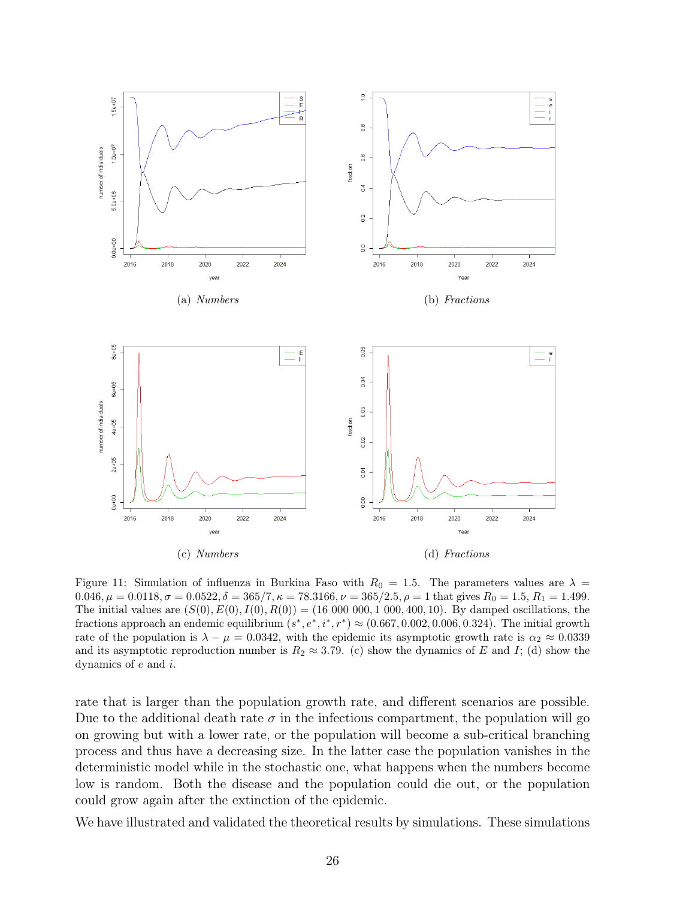

<span id="page-25-0"></span>Figure 11: Simulation of influenza in Burkina Faso with  $R_0 = 1.5$ . The parameters values are  $\lambda =$  $0.046, \mu = 0.0118, \sigma = 0.0522, \delta = 365/7, \kappa = 78.3166, \nu = 365/2.5, \rho = 1$  that gives  $R_0 = 1.5, R_1 = 1.499$ . The initial values are  $(S(0), E(0), I(0), R(0)) = (16,000,000, 1,000, 400, 10)$ . By damped oscillations, the fractions approach an endemic equilibrium  $(s^*, e^*, i^*, r^*) \approx (0.667, 0.002, 0.006, 0.324)$ . The initial growth rate of the population is  $\lambda - \mu = 0.0342$ , with the epidemic its asymptotic growth rate is  $\alpha_2 \approx 0.0339$ and its asymptotic reproduction number is  $R_2 \approx 3.79$ . (c) show the dynamics of E and I; (d) show the dynamics of e and i.

rate that is larger than the population growth rate, and different scenarios are possible. Due to the additional death rate  $\sigma$  in the infectious compartment, the population will go on growing but with a lower rate, or the population will become a sub-critical branching process and thus have a decreasing size. In the latter case the population vanishes in the deterministic model while in the stochastic one, what happens when the numbers become low is random. Both the disease and the population could die out, or the population could grow again after the extinction of the epidemic.

We have illustrated and validated the theoretical results by simulations. These simulations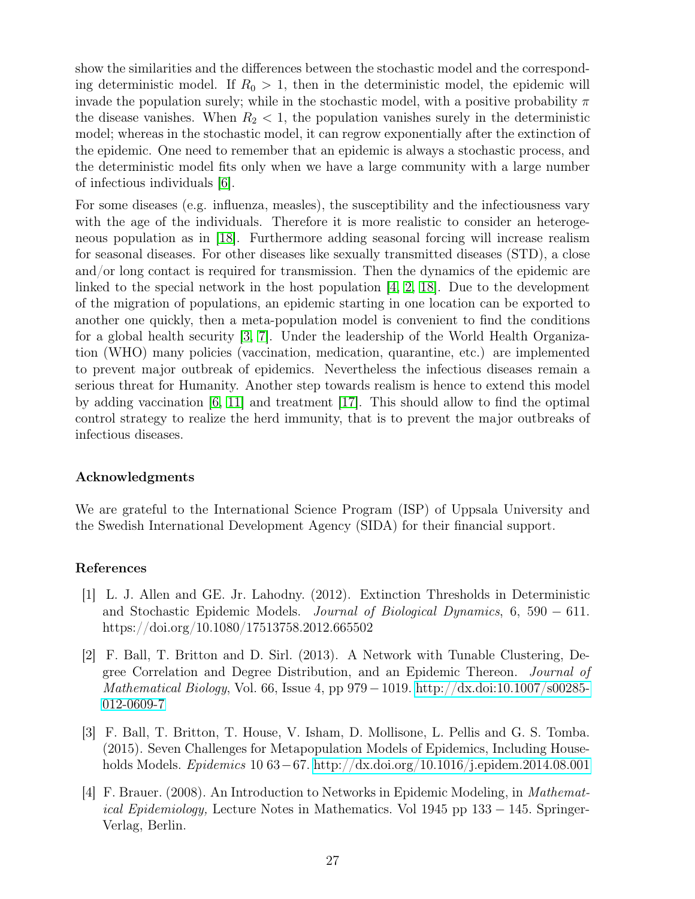show the similarities and the differences between the stochastic model and the corresponding deterministic model. If  $R_0 > 1$ , then in the deterministic model, the epidemic will invade the population surely; while in the stochastic model, with a positive probability  $\pi$ the disease vanishes. When  $R_2 < 1$ , the population vanishes surely in the deterministic model; whereas in the stochastic model, it can regrow exponentially after the extinction of the epidemic. One need to remember that an epidemic is always a stochastic process, and the deterministic model fits only when we have a large community with a large number of infectious individuals [\[6\]](#page-27-11).

For some diseases (e.g. influenza, measles), the susceptibility and the infectiousness vary with the age of the individuals. Therefore it is more realistic to consider an heterogeneous population as in [\[18\]](#page-27-12). Furthermore adding seasonal forcing will increase realism for seasonal diseases. For other diseases like sexually transmitted diseases (STD), a close and/or long contact is required for transmission. Then the dynamics of the epidemic are linked to the special network in the host population  $[4, 2, 18]$  $[4, 2, 18]$  $[4, 2, 18]$ . Due to the development of the migration of populations, an epidemic starting in one location can be exported to another one quickly, then a meta-population model is convenient to find the conditions for a global health security [\[3,](#page-26-3) [7\]](#page-27-13). Under the leadership of the World Health Organization (WHO) many policies (vaccination, medication, quarantine, etc.) are implemented to prevent major outbreak of epidemics. Nevertheless the infectious diseases remain a serious threat for Humanity. Another step towards realism is hence to extend this model by adding vaccination [\[6,](#page-27-11) [11\]](#page-27-0) and treatment [\[17\]](#page-27-14). This should allow to find the optimal control strategy to realize the herd immunity, that is to prevent the major outbreaks of infectious diseases.

# Acknowledgments

We are grateful to the International Science Program (ISP) of Uppsala University and the Swedish International Development Agency (SIDA) for their financial support.

## References

- <span id="page-26-0"></span>[1] L. J. Allen and GE. Jr. Lahodny. (2012). Extinction Thresholds in Deterministic and Stochastic Epidemic Models. Journal of Biological Dynamics, 6, 590 − 611. https://doi.org/10.1080/17513758.2012.665502
- <span id="page-26-2"></span>[2] F. Ball, T. Britton and D. Sirl. (2013). A Network with Tunable Clustering, Degree Correlation and Degree Distribution, and an Epidemic Thereon. Journal of Mathematical Biology, Vol. 66, Issue 4, pp  $979-1019$ . [http://dx.doi:10.1007/s00285-](http://dx.doi:10.1007/s00285-012-0609-7) [012-0609-7](http://dx.doi:10.1007/s00285-012-0609-7)
- <span id="page-26-3"></span>[3] F. Ball, T. Britton, T. House, V. Isham, D. Mollisone, L. Pellis and G. S. Tomba. (2015). Seven Challenges for Metapopulation Models of Epidemics, Including Households Models. Epidemics 10 63−67.<http://dx.doi.org/10.1016/j.epidem.2014.08.001>
- <span id="page-26-1"></span>[4] F. Brauer. (2008). An Introduction to Networks in Epidemic Modeling, in Mathematical Epidemiology, Lecture Notes in Mathematics. Vol 1945 pp 133 − 145. Springer-Verlag, Berlin.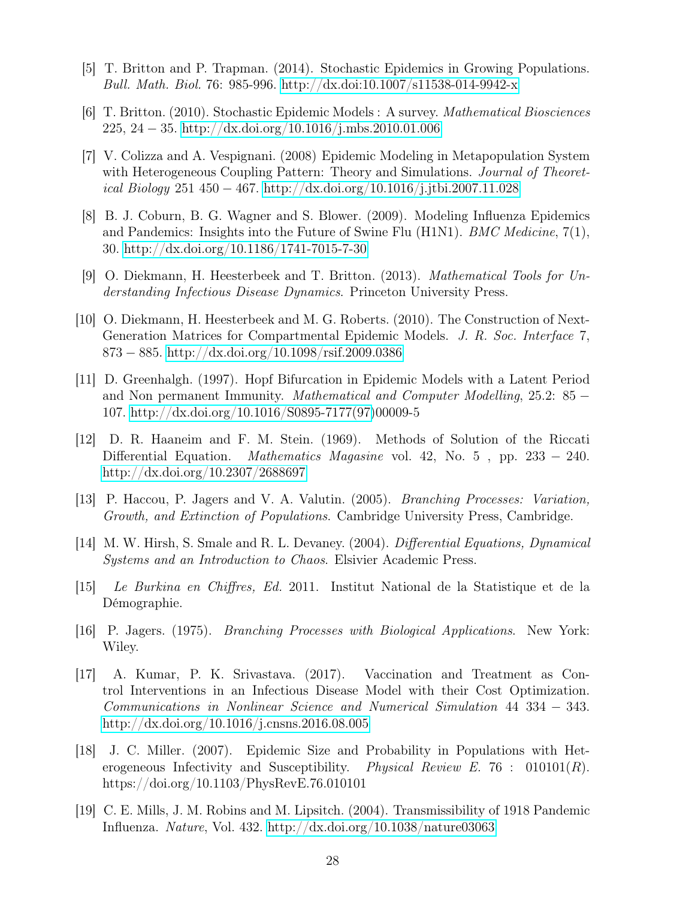- <span id="page-27-1"></span>[5] T. Britton and P. Trapman. (2014). Stochastic Epidemics in Growing Populations. Bull. Math. Biol. 76: 985-996.<http://dx.doi:10.1007/s11538-014-9942-x>
- <span id="page-27-11"></span>[6] T. Britton. (2010). Stochastic Epidemic Models : A survey. Mathematical Biosciences 225, 24 − 35.<http://dx.doi.org/10.1016/j.mbs.2010.01.006>
- <span id="page-27-13"></span>[7] V. Colizza and A. Vespignani. (2008) Epidemic Modeling in Metapopulation System with Heterogeneous Coupling Pattern: Theory and Simulations. *Journal of Theoret*ical Biology 251 450 − 467.<http://dx.doi.org/10.1016/j.jtbi.2007.11.028>
- <span id="page-27-10"></span>[8] B. J. Coburn, B. G. Wagner and S. Blower. (2009). Modeling Influenza Epidemics and Pandemics: Insights into the Future of Swine Flu (H1N1). *BMC Medicine*,  $7(1)$ , 30.<http://dx.doi.org/10.1186/1741-7015-7-30>
- <span id="page-27-2"></span>[9] O. Diekmann, H. Heesterbeek and T. Britton. (2013). Mathematical Tools for Understanding Infectious Disease Dynamics. Princeton University Press.
- <span id="page-27-5"></span>[10] O. Diekmann, H. Heesterbeek and M. G. Roberts. (2010). The Construction of Next-Generation Matrices for Compartmental Epidemic Models. J. R. Soc. Interface 7, 873 − 885.<http://dx.doi.org/10.1098/rsif.2009.0386>
- <span id="page-27-0"></span>[11] D. Greenhalgh. (1997). Hopf Bifurcation in Epidemic Models with a Latent Period and Non permanent Immunity. Mathematical and Computer Modelling, 25.2: 85 − 107. [http://dx.doi.org/10.1016/S0895-7177\(97\)](http://dx.doi.org/10.1016/S0895-7177(97)00009-5
- <span id="page-27-7"></span>[12] D. R. Haaneim and F. M. Stein. (1969). Methods of Solution of the Riccati Differential Equation. Mathematics Magasine vol. 42, No. 5, pp.  $233 - 240$ . <http://dx.doi.org/10.2307/2688697>
- <span id="page-27-4"></span>[13] P. Haccou, P. Jagers and V. A. Valutin. (2005). Branching Processes: Variation, Growth, and Extinction of Populations. Cambridge University Press, Cambridge.
- <span id="page-27-6"></span>[14] M. W. Hirsh, S. Smale and R. L. Devaney. (2004). Differential Equations, Dynamical Systems and an Introduction to Chaos. Elsivier Academic Press.
- <span id="page-27-8"></span>[15] Le Burkina en Chiffres, Ed. 2011. Institut National de la Statistique et de la Démographie.
- <span id="page-27-3"></span>[16] P. Jagers. (1975). Branching Processes with Biological Applications. New York: Wiley.
- <span id="page-27-14"></span>[17] A. Kumar, P. K. Srivastava. (2017). Vaccination and Treatment as Control Interventions in an Infectious Disease Model with their Cost Optimization. Communications in Nonlinear Science and Numerical Simulation 44 334 − 343. <http://dx.doi.org/10.1016/j.cnsns.2016.08.005>
- <span id="page-27-12"></span>[18] J. C. Miller. (2007). Epidemic Size and Probability in Populations with Heterogeneous Infectivity and Susceptibility. Physical Review E. 76 :  $010101(R)$ . https://doi.org/10.1103/PhysRevE.76.010101
- <span id="page-27-9"></span>[19] C. E. Mills, J. M. Robins and M. Lipsitch. (2004). Transmissibility of 1918 Pandemic Influenza. Nature, Vol. 432.<http://dx.doi.org/10.1038/nature03063>